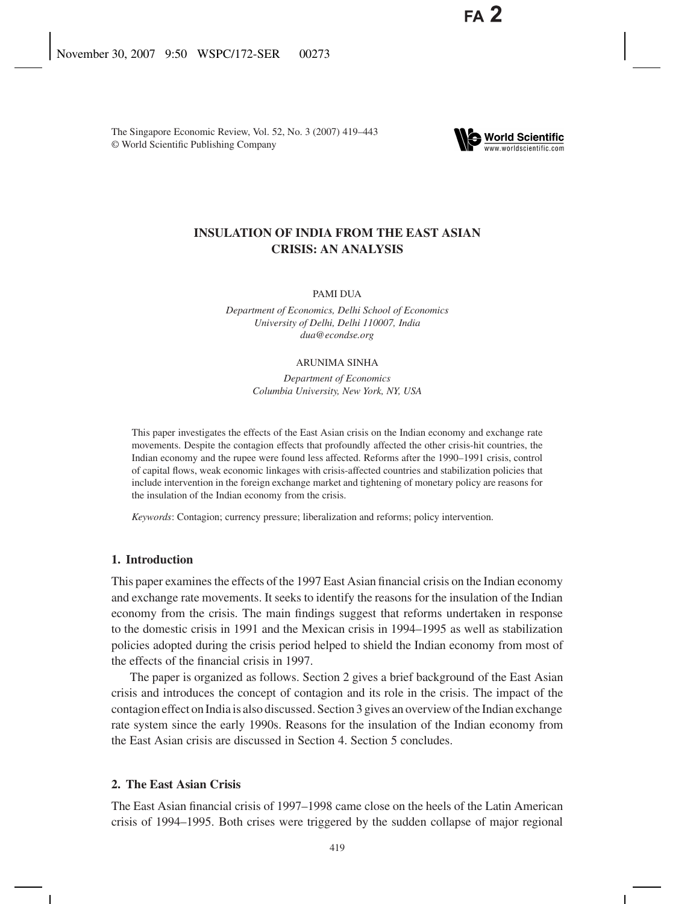The Singapore Economic Review, Vol. 52, No. 3 (2007) 419–443 © World Scientific Publishing Company



# **INSULATION OF INDIA FROM THE EAST ASIAN CRISIS: AN ANALYSIS**

#### PAMI DUA

*Department of Economics, Delhi School of Economics University of Delhi, Delhi 110007, India dua@econdse.org*

#### ARUNIMA SINHA

*Department of Economics Columbia University, New York, NY, USA*

This paper investigates the effects of the East Asian crisis on the Indian economy and exchange rate movements. Despite the contagion effects that profoundly affected the other crisis-hit countries, the Indian economy and the rupee were found less affected. Reforms after the 1990–1991 crisis, control of capital flows, weak economic linkages with crisis-affected countries and stabilization policies that include intervention in the foreign exchange market and tightening of monetary policy are reasons for the insulation of the Indian economy from the crisis.

*Keywords*: Contagion; currency pressure; liberalization and reforms; policy intervention.

#### **1. Introduction**

This paper examines the effects of the 1997 East Asian financial crisis on the Indian economy and exchange rate movements. It seeks to identify the reasons for the insulation of the Indian economy from the crisis. The main findings suggest that reforms undertaken in response to the domestic crisis in 1991 and the Mexican crisis in 1994–1995 as well as stabilization policies adopted during the crisis period helped to shield the Indian economy from most of the effects of the financial crisis in 1997.

The paper is organized as follows. Section 2 gives a brief background of the East Asian crisis and introduces the concept of contagion and its role in the crisis. The impact of the contagion effect on India is also discussed. Section 3 gives an overview of the Indian exchange rate system since the early 1990s. Reasons for the insulation of the Indian economy from the East Asian crisis are discussed in Section 4. Section 5 concludes.

## **2. The East Asian Crisis**

The East Asian financial crisis of 1997–1998 came close on the heels of the Latin American crisis of 1994–1995. Both crises were triggered by the sudden collapse of major regional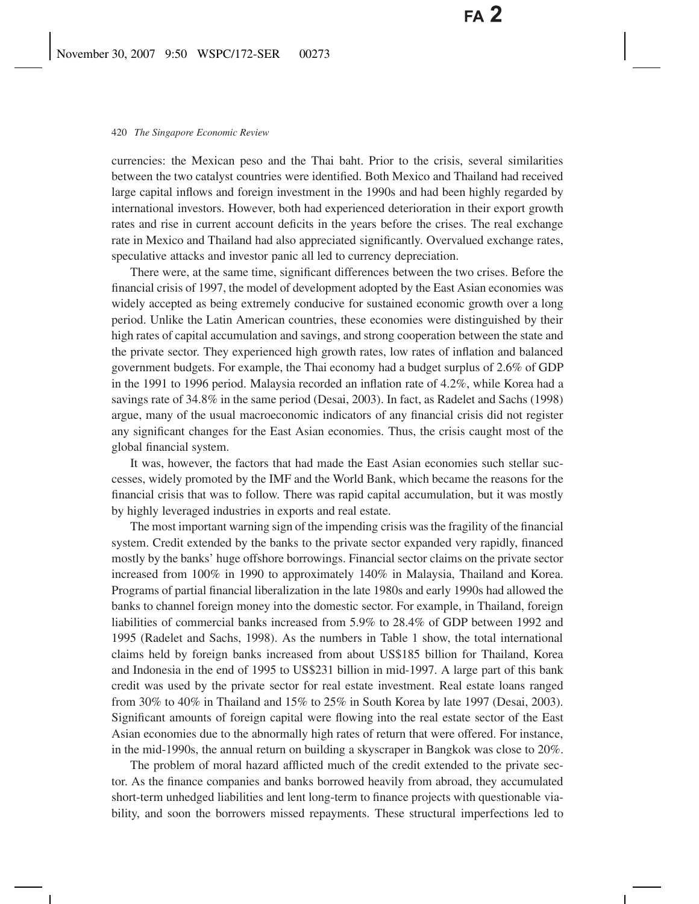currencies: the Mexican peso and the Thai baht. Prior to the crisis, several similarities between the two catalyst countries were identified. Both Mexico and Thailand had received large capital inflows and foreign investment in the 1990s and had been highly regarded by international investors. However, both had experienced deterioration in their export growth rates and rise in current account deficits in the years before the crises. The real exchange rate in Mexico and Thailand had also appreciated significantly. Overvalued exchange rates, speculative attacks and investor panic all led to currency depreciation.

There were, at the same time, significant differences between the two crises. Before the financial crisis of 1997, the model of development adopted by the East Asian economies was widely accepted as being extremely conducive for sustained economic growth over a long period. Unlike the Latin American countries, these economies were distinguished by their high rates of capital accumulation and savings, and strong cooperation between the state and the private sector. They experienced high growth rates, low rates of inflation and balanced government budgets. For example, the Thai economy had a budget surplus of 2.6% of GDP in the 1991 to 1996 period. Malaysia recorded an inflation rate of 4.2%, while Korea had a savings rate of 34.8% in the same period (Desai, 2003). In fact, as Radelet and Sachs (1998) argue, many of the usual macroeconomic indicators of any financial crisis did not register any significant changes for the East Asian economies. Thus, the crisis caught most of the global financial system.

It was, however, the factors that had made the East Asian economies such stellar successes, widely promoted by the IMF and the World Bank, which became the reasons for the financial crisis that was to follow. There was rapid capital accumulation, but it was mostly by highly leveraged industries in exports and real estate.

The most important warning sign of the impending crisis was the fragility of the financial system. Credit extended by the banks to the private sector expanded very rapidly, financed mostly by the banks' huge offshore borrowings. Financial sector claims on the private sector increased from 100% in 1990 to approximately 140% in Malaysia, Thailand and Korea. Programs of partial financial liberalization in the late 1980s and early 1990s had allowed the banks to channel foreign money into the domestic sector. For example, in Thailand, foreign liabilities of commercial banks increased from 5.9% to 28.4% of GDP between 1992 and 1995 (Radelet and Sachs, 1998). As the numbers in Table 1 show, the total international claims held by foreign banks increased from about US\$185 billion for Thailand, Korea and Indonesia in the end of 1995 to US\$231 billion in mid-1997. A large part of this bank credit was used by the private sector for real estate investment. Real estate loans ranged from 30% to 40% in Thailand and 15% to 25% in South Korea by late 1997 (Desai, 2003). Significant amounts of foreign capital were flowing into the real estate sector of the East Asian economies due to the abnormally high rates of return that were offered. For instance, in the mid-1990s, the annual return on building a skyscraper in Bangkok was close to 20%.

The problem of moral hazard afflicted much of the credit extended to the private sector. As the finance companies and banks borrowed heavily from abroad, they accumulated short-term unhedged liabilities and lent long-term to finance projects with questionable viability, and soon the borrowers missed repayments. These structural imperfections led to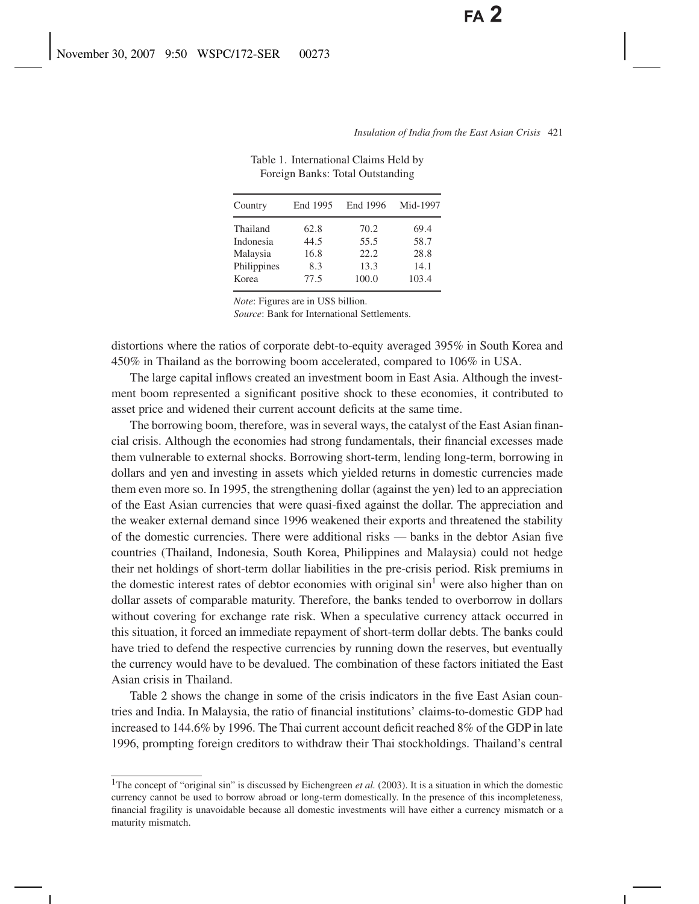| Country     | End 1995 | End 1996 | Mid-1997 |
|-------------|----------|----------|----------|
| Thailand    | 62.8     | 70.2     | 69.4     |
| Indonesia   | 44.5     | 55.5     | 58.7     |
| Malaysia    | 16.8     | 22.2     | 28.8     |
| Philippines | 8.3      | 13.3     | 14.1     |
| Korea       | 77.5     | 100.0    | 103.4    |

#### Table 1. International Claims Held by Foreign Banks: Total Outstanding

*Note*: Figures are in US\$ billion.

*Source*: Bank for International Settlements.

distortions where the ratios of corporate debt-to-equity averaged 395% in South Korea and 450% in Thailand as the borrowing boom accelerated, compared to 106% in USA.

The large capital inflows created an investment boom in East Asia. Although the investment boom represented a significant positive shock to these economies, it contributed to asset price and widened their current account deficits at the same time.

The borrowing boom, therefore, was in several ways, the catalyst of the East Asian financial crisis. Although the economies had strong fundamentals, their financial excesses made them vulnerable to external shocks. Borrowing short-term, lending long-term, borrowing in dollars and yen and investing in assets which yielded returns in domestic currencies made them even more so. In 1995, the strengthening dollar (against the yen) led to an appreciation of the East Asian currencies that were quasi-fixed against the dollar. The appreciation and the weaker external demand since 1996 weakened their exports and threatened the stability of the domestic currencies. There were additional risks — banks in the debtor Asian five countries (Thailand, Indonesia, South Korea, Philippines and Malaysia) could not hedge their net holdings of short-term dollar liabilities in the pre-crisis period. Risk premiums in the domestic interest rates of debtor economies with original  $\sin^1$  were also higher than on dollar assets of comparable maturity. Therefore, the banks tended to overborrow in dollars without covering for exchange rate risk. When a speculative currency attack occurred in this situation, it forced an immediate repayment of short-term dollar debts. The banks could have tried to defend the respective currencies by running down the reserves, but eventually the currency would have to be devalued. The combination of these factors initiated the East Asian crisis in Thailand.

Table 2 shows the change in some of the crisis indicators in the five East Asian countries and India. In Malaysia, the ratio of financial institutions' claims-to-domestic GDP had increased to 144.6% by 1996. The Thai current account deficit reached 8% of the GDP in late 1996, prompting foreign creditors to withdraw their Thai stockholdings. Thailand's central

<sup>&</sup>lt;sup>1</sup>The concept of "original sin" is discussed by Eichengreen *et al.* (2003). It is a situation in which the domestic currency cannot be used to borrow abroad or long-term domestically. In the presence of this incompleteness, financial fragility is unavoidable because all domestic investments will have either a currency mismatch or a maturity mismatch.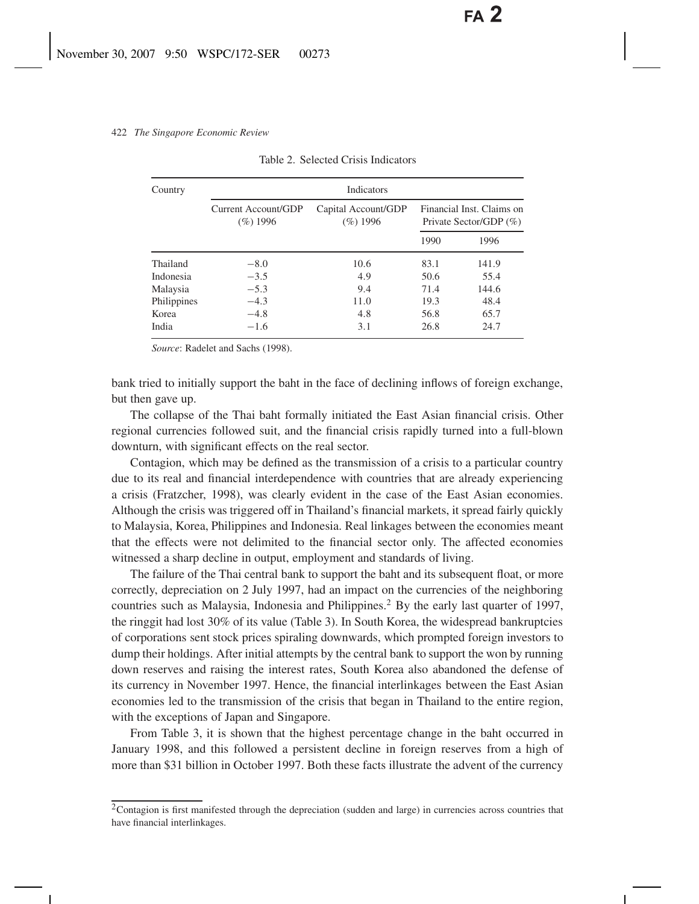| Country     | Indicators                         |                                    |                                                     |       |  |  |  |  |
|-------------|------------------------------------|------------------------------------|-----------------------------------------------------|-------|--|--|--|--|
|             | Current Account/GDP<br>$(\%)$ 1996 | Capital Account/GDP<br>$(\%)$ 1996 | Financial Inst. Claims on<br>Private Sector/GDP (%) |       |  |  |  |  |
|             |                                    |                                    | 1990                                                | 1996  |  |  |  |  |
| Thailand    | $-8.0$                             | 10.6                               | 83.1                                                | 141.9 |  |  |  |  |
| Indonesia   | $-3.5$                             | 4.9                                | 50.6                                                | 55.4  |  |  |  |  |
| Malaysia    | $-5.3$                             | 9.4                                | 71.4                                                | 144.6 |  |  |  |  |
| Philippines | $-4.3$                             | 11.0                               | 19.3                                                | 48.4  |  |  |  |  |
| Korea       | $-4.8$                             | 4.8                                | 56.8                                                | 65.7  |  |  |  |  |
| India       | $-1.6$                             | 3.1                                | 26.8                                                | 24.7  |  |  |  |  |

|  |  |  | Table 2. Selected Crisis Indicators |
|--|--|--|-------------------------------------|
|--|--|--|-------------------------------------|

*Source*: Radelet and Sachs (1998).

bank tried to initially support the baht in the face of declining inflows of foreign exchange, but then gave up.

The collapse of the Thai baht formally initiated the East Asian financial crisis. Other regional currencies followed suit, and the financial crisis rapidly turned into a full-blown downturn, with significant effects on the real sector.

Contagion, which may be defined as the transmission of a crisis to a particular country due to its real and financial interdependence with countries that are already experiencing a crisis (Fratzcher, 1998), was clearly evident in the case of the East Asian economies. Although the crisis was triggered off in Thailand's financial markets, it spread fairly quickly to Malaysia, Korea, Philippines and Indonesia. Real linkages between the economies meant that the effects were not delimited to the financial sector only. The affected economies witnessed a sharp decline in output, employment and standards of living.

The failure of the Thai central bank to support the baht and its subsequent float, or more correctly, depreciation on 2 July 1997, had an impact on the currencies of the neighboring countries such as Malaysia, Indonesia and Philippines.<sup>2</sup> By the early last quarter of 1997, the ringgit had lost 30% of its value (Table 3). In South Korea, the widespread bankruptcies of corporations sent stock prices spiraling downwards, which prompted foreign investors to dump their holdings. After initial attempts by the central bank to support the won by running down reserves and raising the interest rates, South Korea also abandoned the defense of its currency in November 1997. Hence, the financial interlinkages between the East Asian economies led to the transmission of the crisis that began in Thailand to the entire region, with the exceptions of Japan and Singapore.

From Table 3, it is shown that the highest percentage change in the baht occurred in January 1998, and this followed a persistent decline in foreign reserves from a high of more than \$31 billion in October 1997. Both these facts illustrate the advent of the currency

<sup>&</sup>lt;sup>2</sup>Contagion is first manifested through the depreciation (sudden and large) in currencies across countries that have financial interlinkages.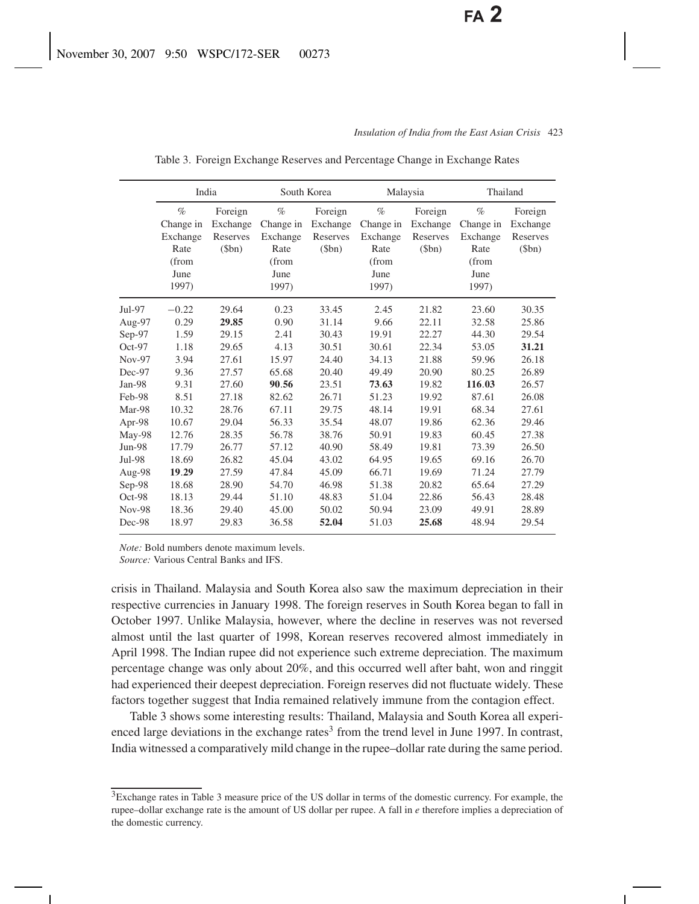|               | India     |                         | South Korea |          | Malaysia  |          | Thailand  |                         |
|---------------|-----------|-------------------------|-------------|----------|-----------|----------|-----------|-------------------------|
|               | $\%$      | Foreign                 | $\%$        | Foreign  | $\%$      | Foreign  | $\%$      | Foreign                 |
|               | Change in | Exchange                | Change in   | Exchange | Change in | Exchange | Change in | Exchange                |
|               | Exchange  | Reserves                | Exchange    | Reserves | Exchange  | Reserves | Exchange  | Reserves                |
|               | Rate      | $(\mathbb{S}\text{bn})$ | Rate        | \$bn)    | Rate      | \$bm)    | Rate      | $(\mathbb{S}\text{bn})$ |
|               | (from     |                         | (from       |          | (from     |          | (from     |                         |
|               | June      |                         | June        |          | June      |          | June      |                         |
|               | 1997)     |                         | 1997)       |          | 1997)     |          | 1997)     |                         |
| Jul-97        | $-0.22$   | 29.64                   | 0.23        | 33.45    | 2.45      | 21.82    | 23.60     | 30.35                   |
| Aug-97        | 0.29      | 29.85                   | 0.90        | 31.14    | 9.66      | 22.11    | 32.58     | 25.86                   |
| Sep-97        | 1.59      | 29.15                   | 2.41        | 30.43    | 19.91     | 22.27    | 44.30     | 29.54                   |
| $Oct-97$      | 1.18      | 29.65                   | 4.13        | 30.51    | 30.61     | 22.34    | 53.05     | 31.21                   |
| Nov-97        | 3.94      | 27.61                   | 15.97       | 24.40    | 34.13     | 21.88    | 59.96     | 26.18                   |
| Dec-97        | 9.36      | 27.57                   | 65.68       | 20.40    | 49.49     | 20.90    | 80.25     | 26.89                   |
| Jan-98        | 9.31      | 27.60                   | 90.56       | 23.51    | 73.63     | 19.82    | 116.03    | 26.57                   |
| Feb-98        | 8.51      | 27.18                   | 82.62       | 26.71    | 51.23     | 19.92    | 87.61     | 26.08                   |
| Mar-98        | 10.32     | 28.76                   | 67.11       | 29.75    | 48.14     | 19.91    | 68.34     | 27.61                   |
| Apr-98        | 10.67     | 29.04                   | 56.33       | 35.54    | 48.07     | 19.86    | 62.36     | 29.46                   |
| May-98        | 12.76     | 28.35                   | 56.78       | 38.76    | 50.91     | 19.83    | 60.45     | 27.38                   |
| Jun-98        | 17.79     | 26.77                   | 57.12       | 40.90    | 58.49     | 19.81    | 73.39     | 26.50                   |
| Jul-98        | 18.69     | 26.82                   | 45.04       | 43.02    | 64.95     | 19.65    | 69.16     | 26.70                   |
| Aug-98        | 19.29     | 27.59                   | 47.84       | 45.09    | 66.71     | 19.69    | 71.24     | 27.79                   |
| $Sep-98$      | 18.68     | 28.90                   | 54.70       | 46.98    | 51.38     | 20.82    | 65.64     | 27.29                   |
| $Oct-98$      | 18.13     | 29.44                   | 51.10       | 48.83    | 51.04     | 22.86    | 56.43     | 28.48                   |
| <b>Nov-98</b> | 18.36     | 29.40                   | 45.00       | 50.02    | 50.94     | 23.09    | 49.91     | 28.89                   |
| Dec-98        | 18.97     | 29.83                   | 36.58       | 52.04    | 51.03     | 25.68    | 48.94     | 29.54                   |

Table 3. Foreign Exchange Reserves and Percentage Change in Exchange Rates

*Note:* Bold numbers denote maximum levels.

*Source:* Various Central Banks and IFS.

crisis in Thailand. Malaysia and South Korea also saw the maximum depreciation in their respective currencies in January 1998. The foreign reserves in South Korea began to fall in October 1997. Unlike Malaysia, however, where the decline in reserves was not reversed almost until the last quarter of 1998, Korean reserves recovered almost immediately in April 1998. The Indian rupee did not experience such extreme depreciation. The maximum percentage change was only about 20%, and this occurred well after baht, won and ringgit had experienced their deepest depreciation. Foreign reserves did not fluctuate widely. These factors together suggest that India remained relatively immune from the contagion effect.

Table 3 shows some interesting results: Thailand, Malaysia and South Korea all experienced large deviations in the exchange rates<sup>3</sup> from the trend level in June 1997. In contrast, India witnessed a comparatively mild change in the rupee–dollar rate during the same period.

<sup>3</sup>Exchange rates in Table 3 measure price of the US dollar in terms of the domestic currency. For example, the rupee–dollar exchange rate is the amount of US dollar per rupee. A fall in *e* therefore implies a depreciation of the domestic currency.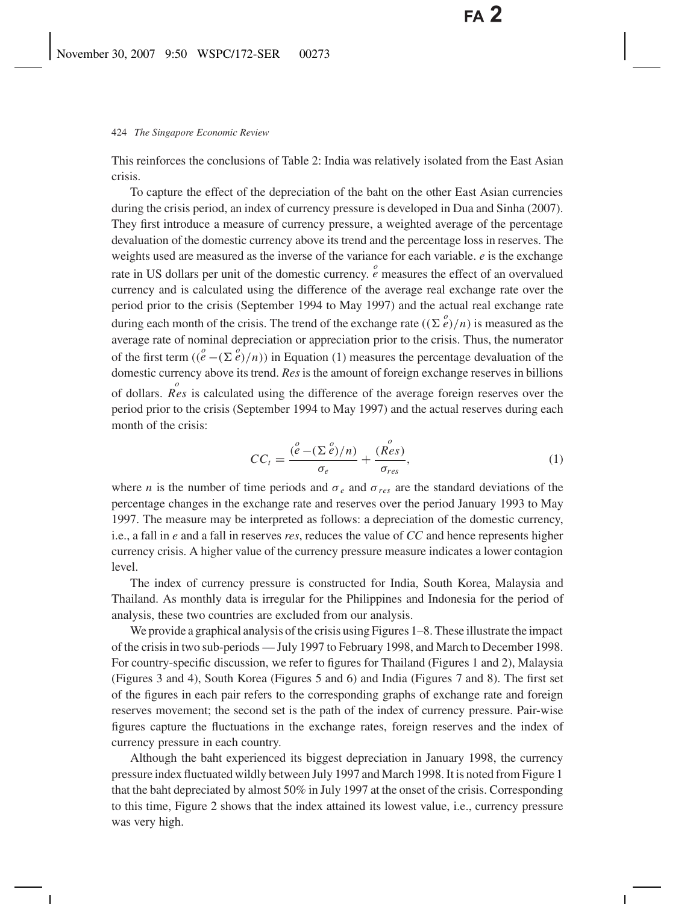This reinforces the conclusions of Table 2: India was relatively isolated from the East Asian crisis.

To capture the effect of the depreciation of the baht on the other East Asian currencies during the crisis period, an index of currency pressure is developed in Dua and Sinha (2007). They first introduce a measure of currency pressure, a weighted average of the percentage devaluation of the domestic currency above its trend and the percentage loss in reserves. The weights used are measured as the inverse of the variance for each variable. *e* is the exchange rate in US dollars per unit of the domestic currency.  $\overset{o}{e}$  measures the effect of an overvalued currency and is calculated using the difference of the average real exchange rate over the period prior to the crisis (September 1994 to May 1997) and the actual real exchange rate during each month of the crisis. The trend of the exchange rate  $((\sum e)/n)$  is measured as the average rate of nominal depreciation or appreciation prior to the crisis. Thus, the numerator of the first term  $(\stackrel{\circ}{e} - (\sum \stackrel{\circ}{e})/n)$  in Equation (1) measures the percentage devaluation of the domestic currency above its trend. *Res*is the amount of foreign exchange reserves in billions of dollars. *Res* is calculated using the difference of the average foreign reserves over the period prior to the crisis (September 1994 to May 1997) and the actual reserves during each month of the crisis:

$$
CC_t = \frac{\left(\stackrel{o}{e} - (\sum \stackrel{o}{e})/n\right)}{\sigma_e} + \frac{\left(\stackrel{o}{Res}\right)}{\sigma_{res}},\tag{1}
$$

where *n* is the number of time periods and  $\sigma_e$  and  $\sigma_{res}$  are the standard deviations of the percentage changes in the exchange rate and reserves over the period January 1993 to May 1997. The measure may be interpreted as follows: a depreciation of the domestic currency, i.e., a fall in *e* and a fall in reserves *res*, reduces the value of *CC* and hence represents higher currency crisis. A higher value of the currency pressure measure indicates a lower contagion level.

The index of currency pressure is constructed for India, South Korea, Malaysia and Thailand. As monthly data is irregular for the Philippines and Indonesia for the period of analysis, these two countries are excluded from our analysis.

We provide a graphical analysis of the crisis using Figures 1–8. These illustrate the impact of the crisis in two sub-periods — July 1997 to February 1998, and March to December 1998. For country-specific discussion, we refer to figures for Thailand (Figures 1 and 2), Malaysia (Figures 3 and 4), South Korea (Figures 5 and 6) and India (Figures 7 and 8). The first set of the figures in each pair refers to the corresponding graphs of exchange rate and foreign reserves movement; the second set is the path of the index of currency pressure. Pair-wise figures capture the fluctuations in the exchange rates, foreign reserves and the index of currency pressure in each country.

Although the baht experienced its biggest depreciation in January 1998, the currency pressure index fluctuated wildly between July 1997 and March 1998. It is noted from Figure 1 that the baht depreciated by almost 50% in July 1997 at the onset of the crisis. Corresponding to this time, Figure 2 shows that the index attained its lowest value, i.e., currency pressure was very high.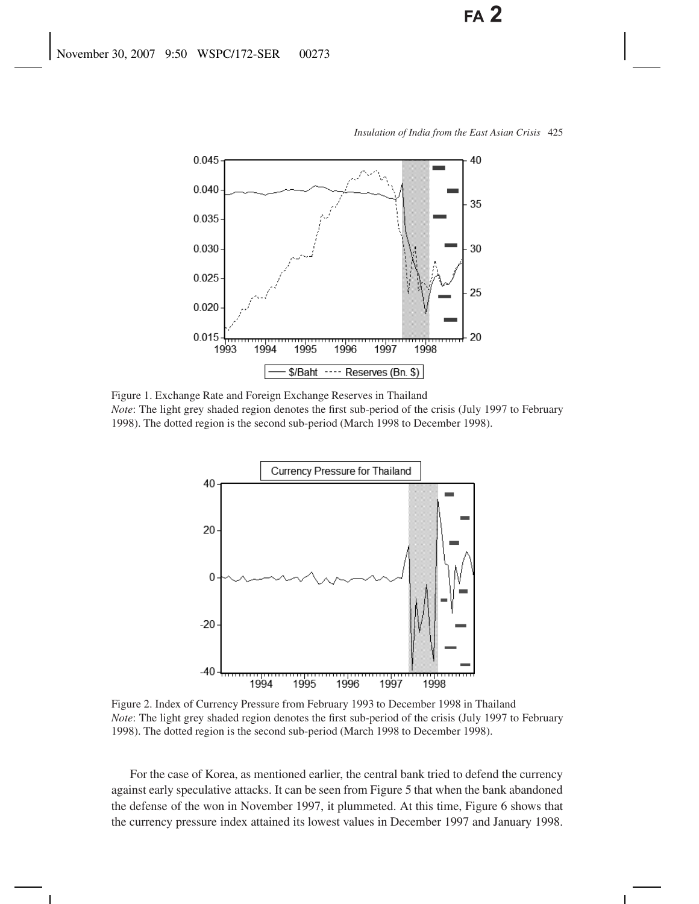

Figure 1. Exchange Rate and Foreign Exchange Reserves in Thailand *Note*: The light grey shaded region denotes the first sub-period of the crisis (July 1997 to February 1998). The dotted region is the second sub-period (March 1998 to December 1998).



Figure 2. Index of Currency Pressure from February 1993 to December 1998 in Thailand *Note*: The light grey shaded region denotes the first sub-period of the crisis (July 1997 to February 1998). The dotted region is the second sub-period (March 1998 to December 1998).

For the case of Korea, as mentioned earlier, the central bank tried to defend the currency against early speculative attacks. It can be seen from Figure 5 that when the bank abandoned the defense of the won in November 1997, it plummeted. At this time, Figure 6 shows that the currency pressure index attained its lowest values in December 1997 and January 1998.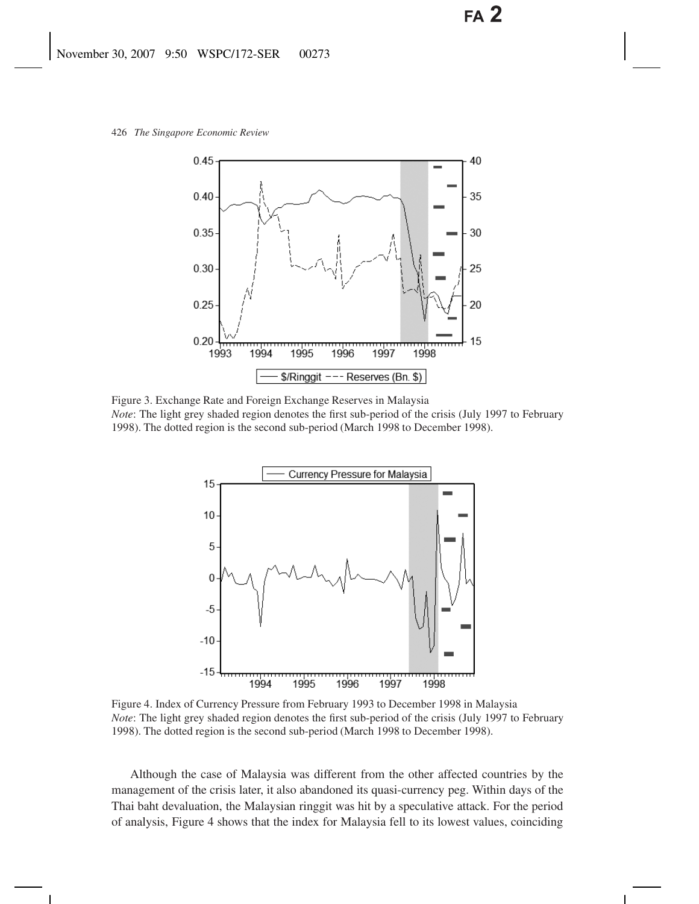

Figure 3. Exchange Rate and Foreign Exchange Reserves in Malaysia *Note*: The light grey shaded region denotes the first sub-period of the crisis (July 1997 to February 1998). The dotted region is the second sub-period (March 1998 to December 1998).



Figure 4. Index of Currency Pressure from February 1993 to December 1998 in Malaysia *Note*: The light grey shaded region denotes the first sub-period of the crisis (July 1997 to February 1998). The dotted region is the second sub-period (March 1998 to December 1998).

Although the case of Malaysia was different from the other affected countries by the management of the crisis later, it also abandoned its quasi-currency peg. Within days of the Thai baht devaluation, the Malaysian ringgit was hit by a speculative attack. For the period of analysis, Figure 4 shows that the index for Malaysia fell to its lowest values, coinciding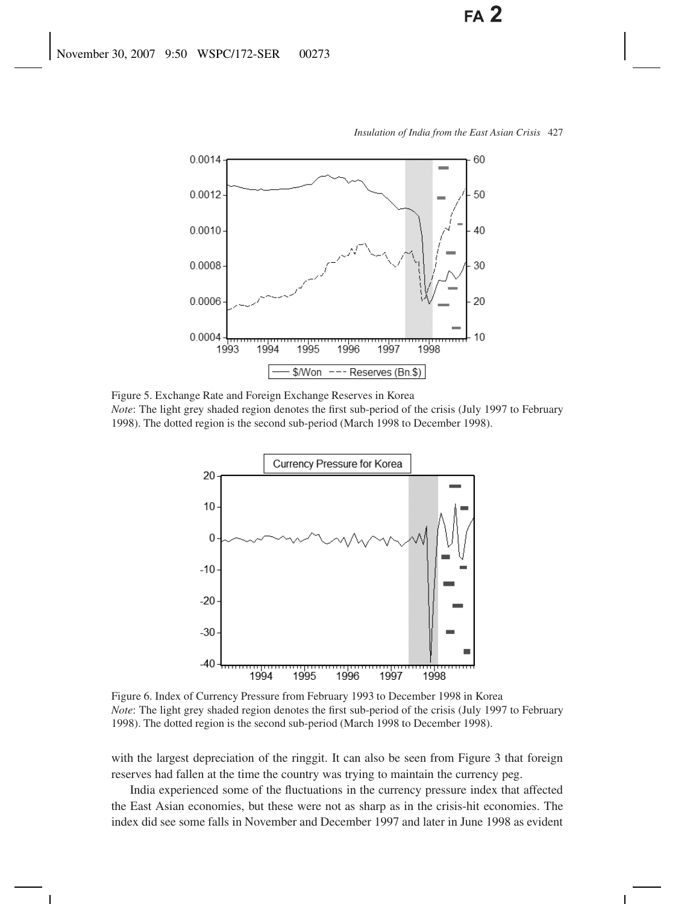

Figure 5. Exchange Rate and Foreign Exchange Reserves in Korea *Note*: The light grey shaded region denotes the first sub-period of the crisis (July 1997 to February 1998). The dotted region is the second sub-period (March 1998 to December 1998).



Figure 6. Index of Currency Pressure from February 1993 to December 1998 in Korea *Note*: The light grey shaded region denotes the first sub-period of the crisis (July 1997 to February 1998). The dotted region is the second sub-period (March 1998 to December 1998).

with the largest depreciation of the ringgit. It can also be seen from Figure 3 that foreign reserves had fallen at the time the country was trying to maintain the currency peg.

India experienced some of the fluctuations in the currency pressure index that affected the East Asian economies, but these were not as sharp as in the crisis-hit economies. The index did see some falls in November and December 1997 and later in June 1998 as evident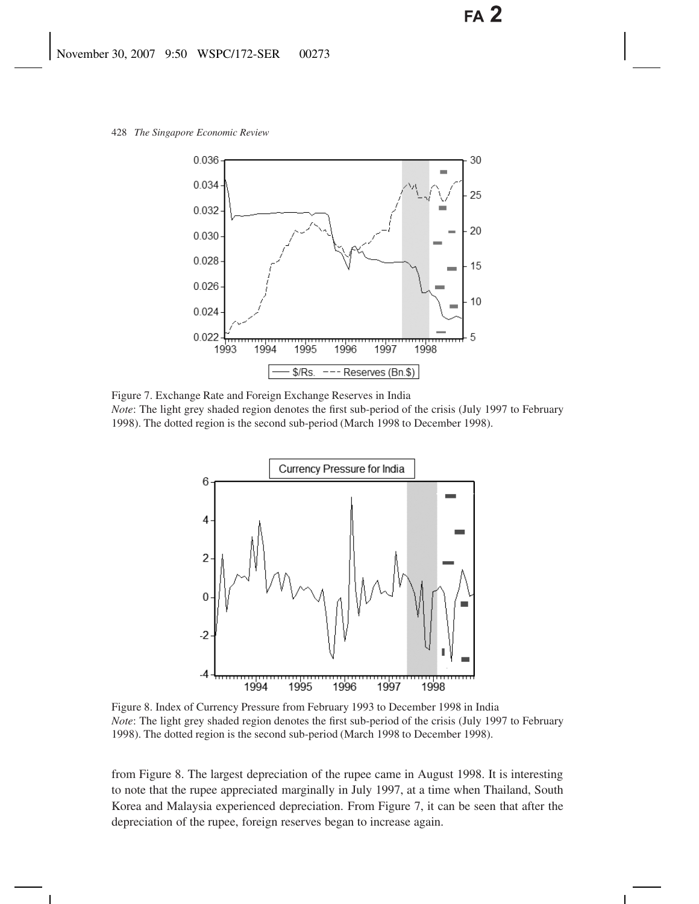

Figure 7. Exchange Rate and Foreign Exchange Reserves in India *Note*: The light grey shaded region denotes the first sub-period of the crisis (July 1997 to February 1998). The dotted region is the second sub-period (March 1998 to December 1998).



Figure 8. Index of Currency Pressure from February 1993 to December 1998 in India *Note*: The light grey shaded region denotes the first sub-period of the crisis (July 1997 to February 1998). The dotted region is the second sub-period (March 1998 to December 1998).

from Figure 8. The largest depreciation of the rupee came in August 1998. It is interesting to note that the rupee appreciated marginally in July 1997, at a time when Thailand, South Korea and Malaysia experienced depreciation. From Figure 7, it can be seen that after the depreciation of the rupee, foreign reserves began to increase again.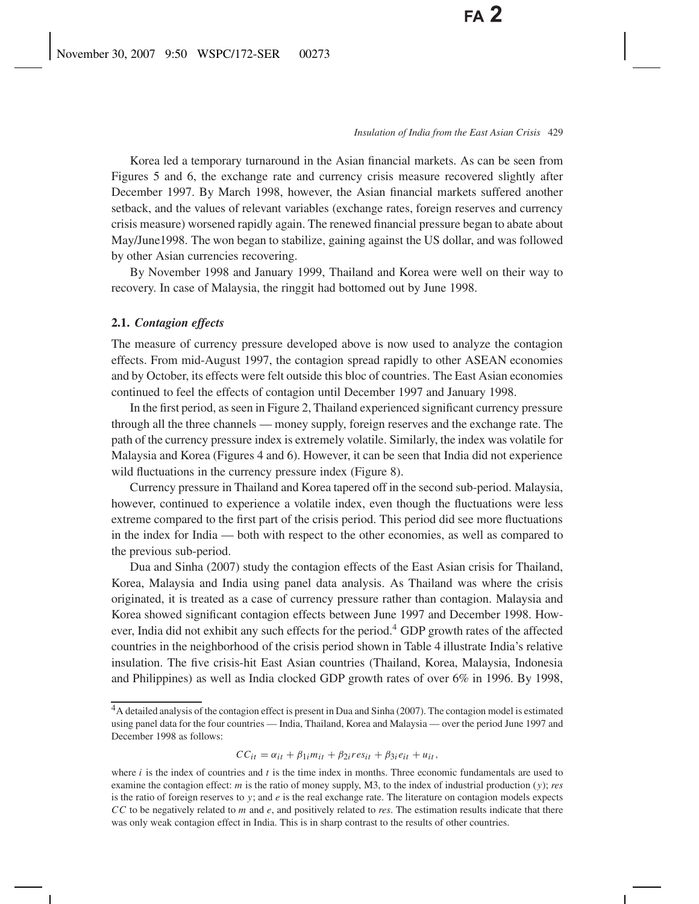Korea led a temporary turnaround in the Asian financial markets. As can be seen from Figures 5 and 6, the exchange rate and currency crisis measure recovered slightly after December 1997. By March 1998, however, the Asian financial markets suffered another setback, and the values of relevant variables (exchange rates, foreign reserves and currency crisis measure) worsened rapidly again. The renewed financial pressure began to abate about May/June1998. The won began to stabilize, gaining against the US dollar, and was followed by other Asian currencies recovering.

By November 1998 and January 1999, Thailand and Korea were well on their way to recovery. In case of Malaysia, the ringgit had bottomed out by June 1998.

## **2.1.** *Contagion effects*

The measure of currency pressure developed above is now used to analyze the contagion effects. From mid-August 1997, the contagion spread rapidly to other ASEAN economies and by October, its effects were felt outside this bloc of countries. The East Asian economies continued to feel the effects of contagion until December 1997 and January 1998.

In the first period, as seen in Figure 2, Thailand experienced significant currency pressure through all the three channels — money supply, foreign reserves and the exchange rate. The path of the currency pressure index is extremely volatile. Similarly, the index was volatile for Malaysia and Korea (Figures 4 and 6). However, it can be seen that India did not experience wild fluctuations in the currency pressure index (Figure 8).

Currency pressure in Thailand and Korea tapered off in the second sub-period. Malaysia, however, continued to experience a volatile index, even though the fluctuations were less extreme compared to the first part of the crisis period. This period did see more fluctuations in the index for India — both with respect to the other economies, as well as compared to the previous sub-period.

Dua and Sinha (2007) study the contagion effects of the East Asian crisis for Thailand, Korea, Malaysia and India using panel data analysis. As Thailand was where the crisis originated, it is treated as a case of currency pressure rather than contagion. Malaysia and Korea showed significant contagion effects between June 1997 and December 1998. However, India did not exhibit any such effects for the period.<sup>4</sup> GDP growth rates of the affected countries in the neighborhood of the crisis period shown in Table 4 illustrate India's relative insulation. The five crisis-hit East Asian countries (Thailand, Korea, Malaysia, Indonesia and Philippines) as well as India clocked GDP growth rates of over 6% in 1996. By 1998,

$$
CC_{it} = \alpha_{it} + \beta_{1i}m_{it} + \beta_{2i}res_{it} + \beta_{3i}e_{it} + u_{it},
$$

<sup>4</sup>A detailed analysis of the contagion effect is present in Dua and Sinha (2007). The contagion model is estimated using panel data for the four countries — India, Thailand, Korea and Malaysia — over the period June 1997 and December 1998 as follows:

where *i* is the index of countries and *t* is the time index in months. Three economic fundamentals are used to examine the contagion effect: *m* is the ratio of money supply, M3, to the index of industrial production (*y*); *res* is the ratio of foreign reserves to *y*; and *e* is the real exchange rate. The literature on contagion models expects *CC* to be negatively related to *m* and *e*, and positively related to *res*. The estimation results indicate that there was only weak contagion effect in India. This is in sharp contrast to the results of other countries.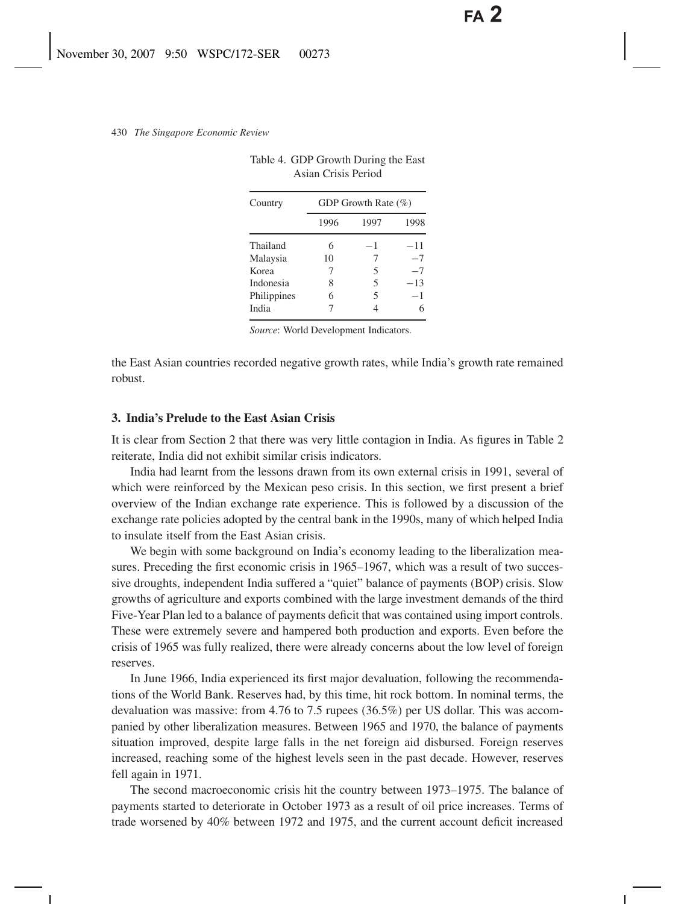| Country     | GDP Growth Rate $(\%)$ |      |         |  |  |  |
|-------------|------------------------|------|---------|--|--|--|
|             | 1996                   | 1997 | 1998    |  |  |  |
| Thailand    | 6                      | $-1$ | $-11$   |  |  |  |
| Malaysia    | 10                     | 7    | $^{-7}$ |  |  |  |
| Korea       | 7                      | 5    | $-7$    |  |  |  |
| Indonesia   | 8                      | 5    | $-13$   |  |  |  |
| Philippines | 6                      | 5    | $-1$    |  |  |  |
| India       |                        |      |         |  |  |  |

| Table 4. GDP Growth During the East |  |
|-------------------------------------|--|
| Asian Crisis Period                 |  |

*Source*: World Development Indicators.

the East Asian countries recorded negative growth rates, while India's growth rate remained robust.

### **3. India's Prelude to the East Asian Crisis**

It is clear from Section 2 that there was very little contagion in India. As figures in Table 2 reiterate, India did not exhibit similar crisis indicators.

India had learnt from the lessons drawn from its own external crisis in 1991, several of which were reinforced by the Mexican peso crisis. In this section, we first present a brief overview of the Indian exchange rate experience. This is followed by a discussion of the exchange rate policies adopted by the central bank in the 1990s, many of which helped India to insulate itself from the East Asian crisis.

We begin with some background on India's economy leading to the liberalization measures. Preceding the first economic crisis in 1965–1967, which was a result of two successive droughts, independent India suffered a "quiet" balance of payments (BOP) crisis. Slow growths of agriculture and exports combined with the large investment demands of the third Five-Year Plan led to a balance of payments deficit that was contained using import controls. These were extremely severe and hampered both production and exports. Even before the crisis of 1965 was fully realized, there were already concerns about the low level of foreign reserves.

In June 1966, India experienced its first major devaluation, following the recommendations of the World Bank. Reserves had, by this time, hit rock bottom. In nominal terms, the devaluation was massive: from 4.76 to 7.5 rupees (36.5%) per US dollar. This was accompanied by other liberalization measures. Between 1965 and 1970, the balance of payments situation improved, despite large falls in the net foreign aid disbursed. Foreign reserves increased, reaching some of the highest levels seen in the past decade. However, reserves fell again in 1971.

The second macroeconomic crisis hit the country between 1973–1975. The balance of payments started to deteriorate in October 1973 as a result of oil price increases. Terms of trade worsened by 40% between 1972 and 1975, and the current account deficit increased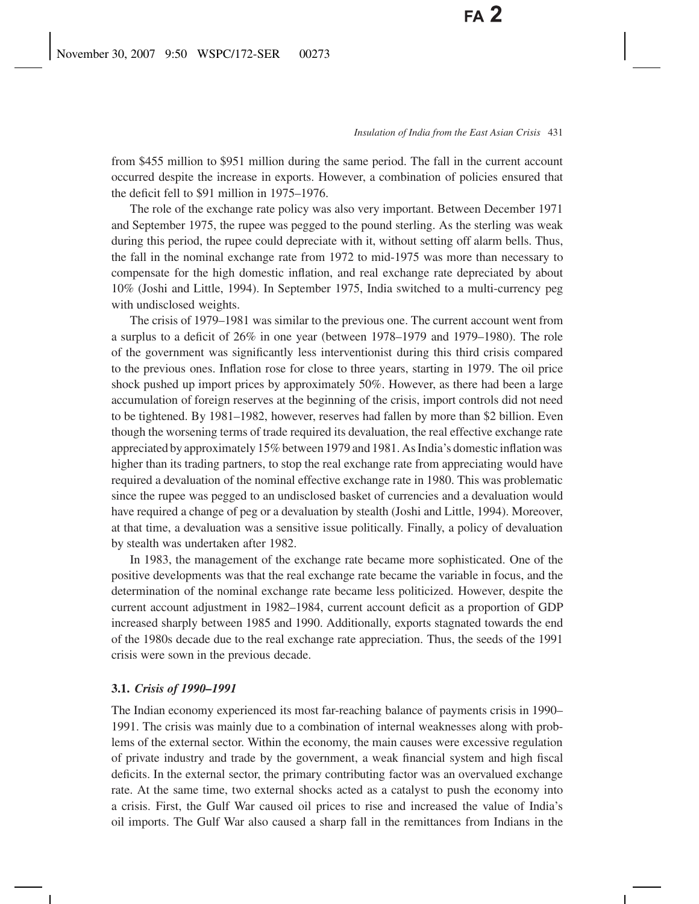from \$455 million to \$951 million during the same period. The fall in the current account occurred despite the increase in exports. However, a combination of policies ensured that the deficit fell to \$91 million in 1975–1976.

The role of the exchange rate policy was also very important. Between December 1971 and September 1975, the rupee was pegged to the pound sterling. As the sterling was weak during this period, the rupee could depreciate with it, without setting off alarm bells. Thus, the fall in the nominal exchange rate from 1972 to mid-1975 was more than necessary to compensate for the high domestic inflation, and real exchange rate depreciated by about 10% (Joshi and Little, 1994). In September 1975, India switched to a multi-currency peg with undisclosed weights.

The crisis of 1979–1981 was similar to the previous one. The current account went from a surplus to a deficit of 26% in one year (between 1978–1979 and 1979–1980). The role of the government was significantly less interventionist during this third crisis compared to the previous ones. Inflation rose for close to three years, starting in 1979. The oil price shock pushed up import prices by approximately 50%. However, as there had been a large accumulation of foreign reserves at the beginning of the crisis, import controls did not need to be tightened. By 1981–1982, however, reserves had fallen by more than \$2 billion. Even though the worsening terms of trade required its devaluation, the real effective exchange rate appreciated by approximately 15% between 1979 and 1981. As India's domestic inflation was higher than its trading partners, to stop the real exchange rate from appreciating would have required a devaluation of the nominal effective exchange rate in 1980. This was problematic since the rupee was pegged to an undisclosed basket of currencies and a devaluation would have required a change of peg or a devaluation by stealth (Joshi and Little, 1994). Moreover, at that time, a devaluation was a sensitive issue politically. Finally, a policy of devaluation by stealth was undertaken after 1982.

In 1983, the management of the exchange rate became more sophisticated. One of the positive developments was that the real exchange rate became the variable in focus, and the determination of the nominal exchange rate became less politicized. However, despite the current account adjustment in 1982–1984, current account deficit as a proportion of GDP increased sharply between 1985 and 1990. Additionally, exports stagnated towards the end of the 1980s decade due to the real exchange rate appreciation. Thus, the seeds of the 1991 crisis were sown in the previous decade.

## **3.1.** *Crisis of 1990–1991*

The Indian economy experienced its most far-reaching balance of payments crisis in 1990– 1991. The crisis was mainly due to a combination of internal weaknesses along with problems of the external sector. Within the economy, the main causes were excessive regulation of private industry and trade by the government, a weak financial system and high fiscal deficits. In the external sector, the primary contributing factor was an overvalued exchange rate. At the same time, two external shocks acted as a catalyst to push the economy into a crisis. First, the Gulf War caused oil prices to rise and increased the value of India's oil imports. The Gulf War also caused a sharp fall in the remittances from Indians in the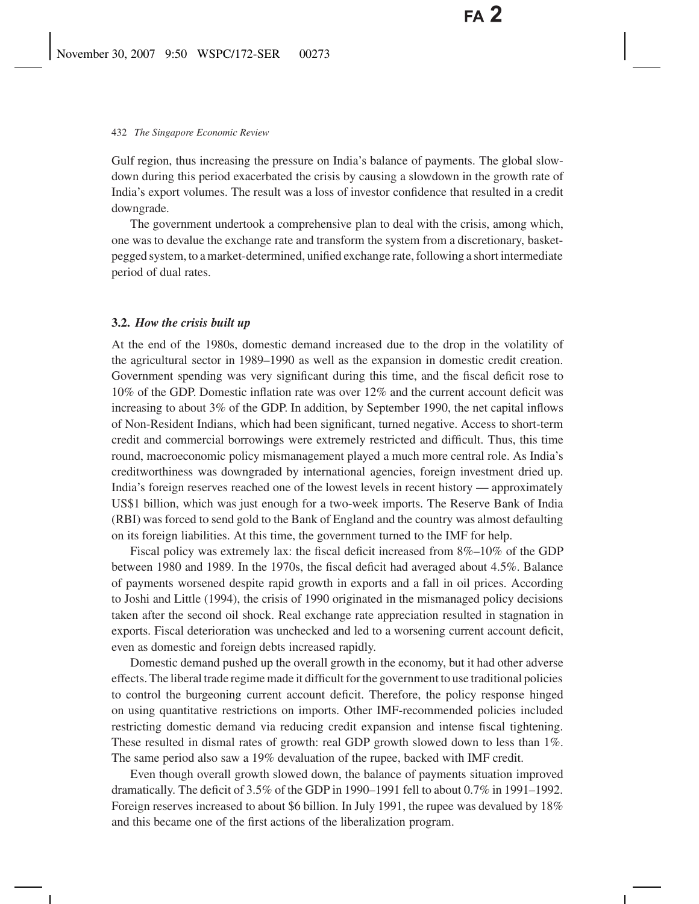#### 432 *The Singapore Economic Review*

Gulf region, thus increasing the pressure on India's balance of payments. The global slowdown during this period exacerbated the crisis by causing a slowdown in the growth rate of India's export volumes. The result was a loss of investor confidence that resulted in a credit downgrade.

The government undertook a comprehensive plan to deal with the crisis, among which, one was to devalue the exchange rate and transform the system from a discretionary, basketpegged system, to a market-determined, unified exchange rate, following a short intermediate period of dual rates.

#### **3.2.** *How the crisis built up*

At the end of the 1980s, domestic demand increased due to the drop in the volatility of the agricultural sector in 1989–1990 as well as the expansion in domestic credit creation. Government spending was very significant during this time, and the fiscal deficit rose to 10% of the GDP. Domestic inflation rate was over 12% and the current account deficit was increasing to about 3% of the GDP. In addition, by September 1990, the net capital inflows of Non-Resident Indians, which had been significant, turned negative. Access to short-term credit and commercial borrowings were extremely restricted and difficult. Thus, this time round, macroeconomic policy mismanagement played a much more central role. As India's creditworthiness was downgraded by international agencies, foreign investment dried up. India's foreign reserves reached one of the lowest levels in recent history — approximately US\$1 billion, which was just enough for a two-week imports. The Reserve Bank of India (RBI) was forced to send gold to the Bank of England and the country was almost defaulting on its foreign liabilities. At this time, the government turned to the IMF for help.

Fiscal policy was extremely lax: the fiscal deficit increased from 8%–10% of the GDP between 1980 and 1989. In the 1970s, the fiscal deficit had averaged about 4.5%. Balance of payments worsened despite rapid growth in exports and a fall in oil prices. According to Joshi and Little (1994), the crisis of 1990 originated in the mismanaged policy decisions taken after the second oil shock. Real exchange rate appreciation resulted in stagnation in exports. Fiscal deterioration was unchecked and led to a worsening current account deficit, even as domestic and foreign debts increased rapidly.

Domestic demand pushed up the overall growth in the economy, but it had other adverse effects. The liberal trade regime made it difficult for the government to use traditional policies to control the burgeoning current account deficit. Therefore, the policy response hinged on using quantitative restrictions on imports. Other IMF-recommended policies included restricting domestic demand via reducing credit expansion and intense fiscal tightening. These resulted in dismal rates of growth: real GDP growth slowed down to less than 1%. The same period also saw a 19% devaluation of the rupee, backed with IMF credit.

Even though overall growth slowed down, the balance of payments situation improved dramatically. The deficit of 3.5% of the GDP in 1990–1991 fell to about 0.7% in 1991–1992. Foreign reserves increased to about \$6 billion. In July 1991, the rupee was devalued by 18% and this became one of the first actions of the liberalization program.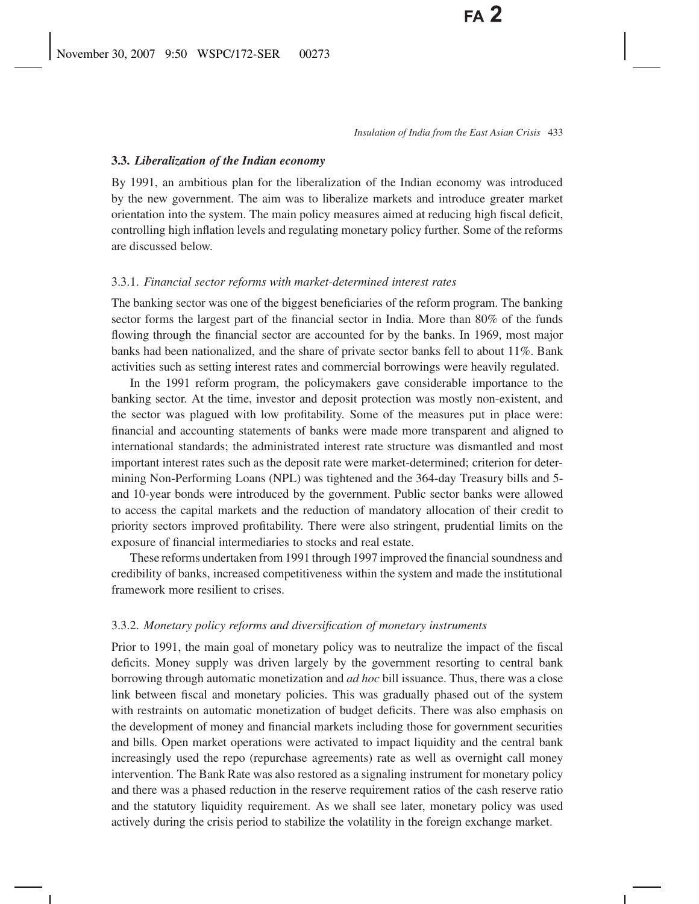## **3.3.** *Liberalization of the Indian economy*

By 1991, an ambitious plan for the liberalization of the Indian economy was introduced by the new government. The aim was to liberalize markets and introduce greater market orientation into the system. The main policy measures aimed at reducing high fiscal deficit, controlling high inflation levels and regulating monetary policy further. Some of the reforms are discussed below.

#### 3.3.1. *Financial sector reforms with market-determined interest rates*

The banking sector was one of the biggest beneficiaries of the reform program. The banking sector forms the largest part of the financial sector in India. More than 80% of the funds flowing through the financial sector are accounted for by the banks. In 1969, most major banks had been nationalized, and the share of private sector banks fell to about 11%. Bank activities such as setting interest rates and commercial borrowings were heavily regulated.

In the 1991 reform program, the policymakers gave considerable importance to the banking sector. At the time, investor and deposit protection was mostly non-existent, and the sector was plagued with low profitability. Some of the measures put in place were: financial and accounting statements of banks were made more transparent and aligned to international standards; the administrated interest rate structure was dismantled and most important interest rates such as the deposit rate were market-determined; criterion for determining Non-Performing Loans (NPL) was tightened and the 364-day Treasury bills and 5 and 10-year bonds were introduced by the government. Public sector banks were allowed to access the capital markets and the reduction of mandatory allocation of their credit to priority sectors improved profitability. There were also stringent, prudential limits on the exposure of financial intermediaries to stocks and real estate.

These reforms undertaken from 1991 through 1997 improved the financial soundness and credibility of banks, increased competitiveness within the system and made the institutional framework more resilient to crises.

## 3.3.2. *Monetary policy reforms and diversification of monetary instruments*

Prior to 1991, the main goal of monetary policy was to neutralize the impact of the fiscal deficits. Money supply was driven largely by the government resorting to central bank borrowing through automatic monetization and *ad hoc* bill issuance. Thus, there was a close link between fiscal and monetary policies. This was gradually phased out of the system with restraints on automatic monetization of budget deficits. There was also emphasis on the development of money and financial markets including those for government securities and bills. Open market operations were activated to impact liquidity and the central bank increasingly used the repo (repurchase agreements) rate as well as overnight call money intervention. The Bank Rate was also restored as a signaling instrument for monetary policy and there was a phased reduction in the reserve requirement ratios of the cash reserve ratio and the statutory liquidity requirement. As we shall see later, monetary policy was used actively during the crisis period to stabilize the volatility in the foreign exchange market.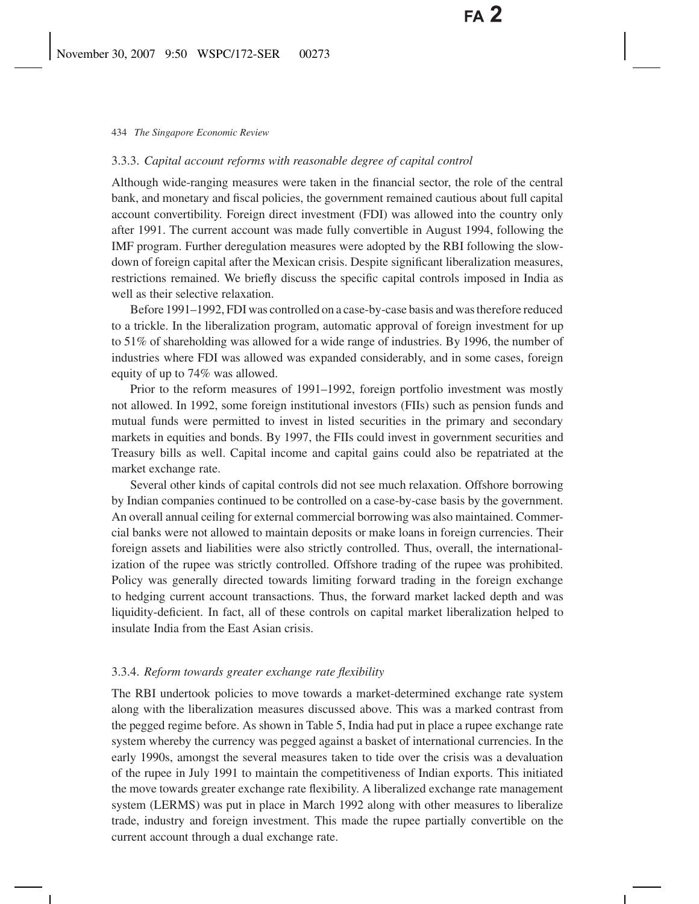## 3.3.3. *Capital account reforms with reasonable degree of capital control*

Although wide-ranging measures were taken in the financial sector, the role of the central bank, and monetary and fiscal policies, the government remained cautious about full capital account convertibility. Foreign direct investment (FDI) was allowed into the country only after 1991. The current account was made fully convertible in August 1994, following the IMF program. Further deregulation measures were adopted by the RBI following the slowdown of foreign capital after the Mexican crisis. Despite significant liberalization measures, restrictions remained. We briefly discuss the specific capital controls imposed in India as well as their selective relaxation.

Before 1991–1992, FDI was controlled on a case-by-case basis and was therefore reduced to a trickle. In the liberalization program, automatic approval of foreign investment for up to 51% of shareholding was allowed for a wide range of industries. By 1996, the number of industries where FDI was allowed was expanded considerably, and in some cases, foreign equity of up to 74% was allowed.

Prior to the reform measures of 1991–1992, foreign portfolio investment was mostly not allowed. In 1992, some foreign institutional investors (FIIs) such as pension funds and mutual funds were permitted to invest in listed securities in the primary and secondary markets in equities and bonds. By 1997, the FIIs could invest in government securities and Treasury bills as well. Capital income and capital gains could also be repatriated at the market exchange rate.

Several other kinds of capital controls did not see much relaxation. Offshore borrowing by Indian companies continued to be controlled on a case-by-case basis by the government. An overall annual ceiling for external commercial borrowing was also maintained. Commercial banks were not allowed to maintain deposits or make loans in foreign currencies. Their foreign assets and liabilities were also strictly controlled. Thus, overall, the internationalization of the rupee was strictly controlled. Offshore trading of the rupee was prohibited. Policy was generally directed towards limiting forward trading in the foreign exchange to hedging current account transactions. Thus, the forward market lacked depth and was liquidity-deficient. In fact, all of these controls on capital market liberalization helped to insulate India from the East Asian crisis.

#### 3.3.4. *Reform towards greater exchange rate flexibility*

The RBI undertook policies to move towards a market-determined exchange rate system along with the liberalization measures discussed above. This was a marked contrast from the pegged regime before. As shown in Table 5, India had put in place a rupee exchange rate system whereby the currency was pegged against a basket of international currencies. In the early 1990s, amongst the several measures taken to tide over the crisis was a devaluation of the rupee in July 1991 to maintain the competitiveness of Indian exports. This initiated the move towards greater exchange rate flexibility. A liberalized exchange rate management system (LERMS) was put in place in March 1992 along with other measures to liberalize trade, industry and foreign investment. This made the rupee partially convertible on the current account through a dual exchange rate.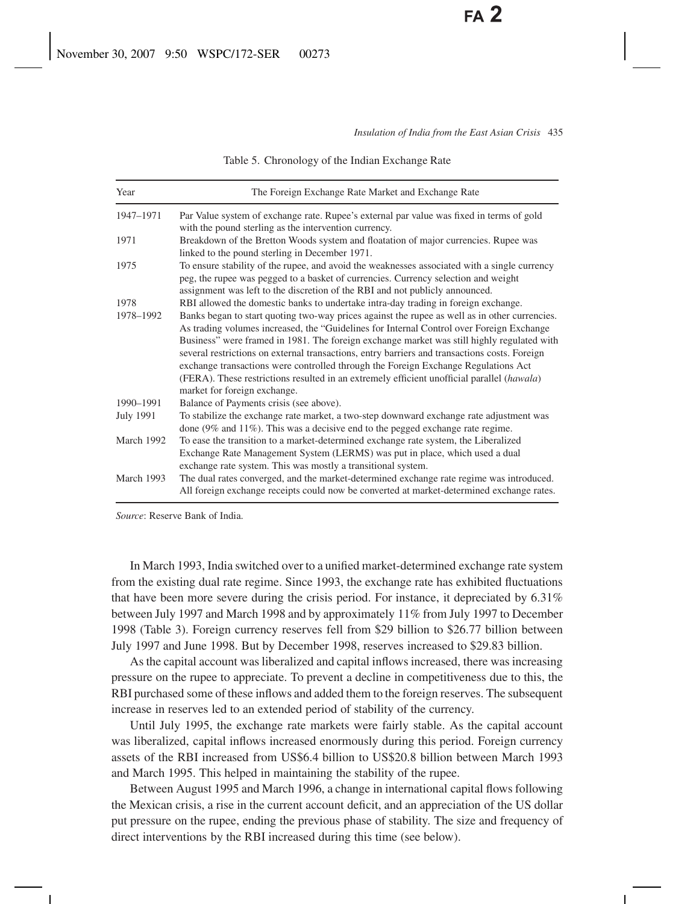| Table 5. Chronology of the Indian Exchange Rate |  |
|-------------------------------------------------|--|
|                                                 |  |

| Year              | The Foreign Exchange Rate Market and Exchange Rate                                                                                                                                                                                                                                                                                                                                                                                                                                                                                                                                                                                                                                                  |
|-------------------|-----------------------------------------------------------------------------------------------------------------------------------------------------------------------------------------------------------------------------------------------------------------------------------------------------------------------------------------------------------------------------------------------------------------------------------------------------------------------------------------------------------------------------------------------------------------------------------------------------------------------------------------------------------------------------------------------------|
| 1947-1971         | Par Value system of exchange rate. Rupee's external par value was fixed in terms of gold<br>with the pound sterling as the intervention currency.                                                                                                                                                                                                                                                                                                                                                                                                                                                                                                                                                   |
| 1971              | Breakdown of the Bretton Woods system and floatation of major currencies. Rupee was<br>linked to the pound sterling in December 1971.                                                                                                                                                                                                                                                                                                                                                                                                                                                                                                                                                               |
| 1975              | To ensure stability of the rupee, and avoid the weaknesses associated with a single currency<br>peg, the rupee was pegged to a basket of currencies. Currency selection and weight<br>assignment was left to the discretion of the RBI and not publicly announced.                                                                                                                                                                                                                                                                                                                                                                                                                                  |
| 1978<br>1978-1992 | RBI allowed the domestic banks to undertake intra-day trading in foreign exchange.<br>Banks began to start quoting two-way prices against the rupee as well as in other currencies.<br>As trading volumes increased, the "Guidelines for Internal Control over Foreign Exchange"<br>Business" were framed in 1981. The foreign exchange market was still highly regulated with<br>several restrictions on external transactions, entry barriers and transactions costs. Foreign<br>exchange transactions were controlled through the Foreign Exchange Regulations Act<br>(FERA). These restrictions resulted in an extremely efficient unofficial parallel (hawala)<br>market for foreign exchange. |
| 1990-1991         | Balance of Payments crisis (see above).                                                                                                                                                                                                                                                                                                                                                                                                                                                                                                                                                                                                                                                             |
| <b>July 1991</b>  | To stabilize the exchange rate market, a two-step downward exchange rate adjustment was<br>done $(9\%$ and $11\%)$ . This was a decisive end to the pegged exchange rate regime.                                                                                                                                                                                                                                                                                                                                                                                                                                                                                                                    |
| March 1992        | To ease the transition to a market-determined exchange rate system, the Liberalized<br>Exchange Rate Management System (LERMS) was put in place, which used a dual<br>exchange rate system. This was mostly a transitional system.                                                                                                                                                                                                                                                                                                                                                                                                                                                                  |
| March 1993        | The dual rates converged, and the market-determined exchange rate regime was introduced.<br>All foreign exchange receipts could now be converted at market-determined exchange rates.                                                                                                                                                                                                                                                                                                                                                                                                                                                                                                               |

*Source*: Reserve Bank of India.

In March 1993, India switched over to a unified market-determined exchange rate system from the existing dual rate regime. Since 1993, the exchange rate has exhibited fluctuations that have been more severe during the crisis period. For instance, it depreciated by 6.31% between July 1997 and March 1998 and by approximately 11% from July 1997 to December 1998 (Table 3). Foreign currency reserves fell from \$29 billion to \$26.77 billion between July 1997 and June 1998. But by December 1998, reserves increased to \$29.83 billion.

As the capital account was liberalized and capital inflows increased, there was increasing pressure on the rupee to appreciate. To prevent a decline in competitiveness due to this, the RBI purchased some of these inflows and added them to the foreign reserves. The subsequent increase in reserves led to an extended period of stability of the currency.

Until July 1995, the exchange rate markets were fairly stable. As the capital account was liberalized, capital inflows increased enormously during this period. Foreign currency assets of the RBI increased from US\$6.4 billion to US\$20.8 billion between March 1993 and March 1995. This helped in maintaining the stability of the rupee.

Between August 1995 and March 1996, a change in international capital flows following the Mexican crisis, a rise in the current account deficit, and an appreciation of the US dollar put pressure on the rupee, ending the previous phase of stability. The size and frequency of direct interventions by the RBI increased during this time (see below).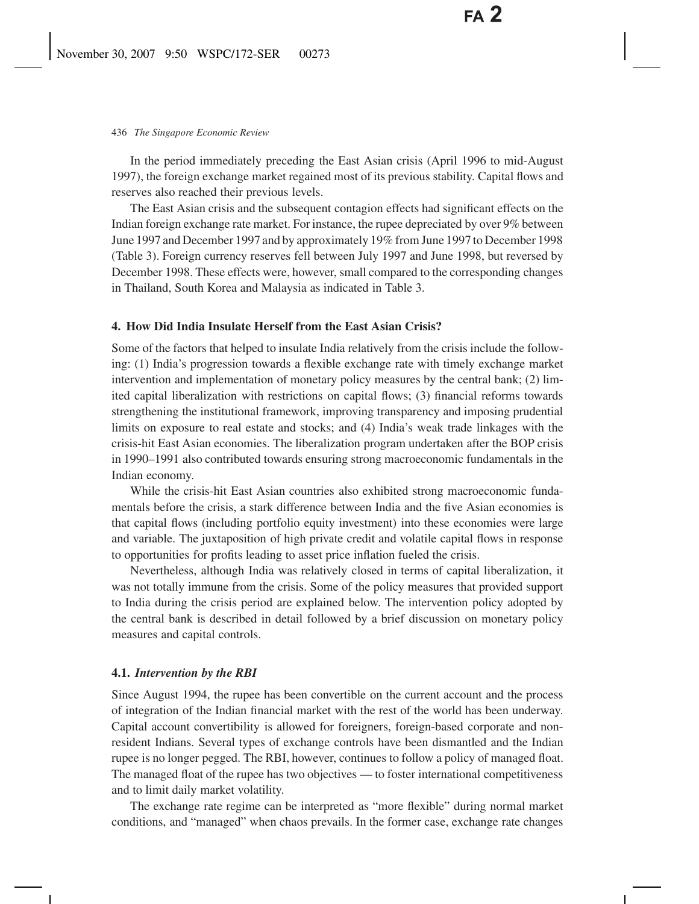In the period immediately preceding the East Asian crisis (April 1996 to mid-August 1997), the foreign exchange market regained most of its previous stability. Capital flows and reserves also reached their previous levels.

The East Asian crisis and the subsequent contagion effects had significant effects on the Indian foreign exchange rate market. For instance, the rupee depreciated by over 9% between June 1997 and December 1997 and by approximately 19% from June 1997 to December 1998 (Table 3). Foreign currency reserves fell between July 1997 and June 1998, but reversed by December 1998. These effects were, however, small compared to the corresponding changes in Thailand, South Korea and Malaysia as indicated in Table 3.

# **4. How Did India Insulate Herself from the East Asian Crisis?**

Some of the factors that helped to insulate India relatively from the crisis include the following: (1) India's progression towards a flexible exchange rate with timely exchange market intervention and implementation of monetary policy measures by the central bank; (2) limited capital liberalization with restrictions on capital flows; (3) financial reforms towards strengthening the institutional framework, improving transparency and imposing prudential limits on exposure to real estate and stocks; and (4) India's weak trade linkages with the crisis-hit East Asian economies. The liberalization program undertaken after the BOP crisis in 1990–1991 also contributed towards ensuring strong macroeconomic fundamentals in the Indian economy.

While the crisis-hit East Asian countries also exhibited strong macroeconomic fundamentals before the crisis, a stark difference between India and the five Asian economies is that capital flows (including portfolio equity investment) into these economies were large and variable. The juxtaposition of high private credit and volatile capital flows in response to opportunities for profits leading to asset price inflation fueled the crisis.

Nevertheless, although India was relatively closed in terms of capital liberalization, it was not totally immune from the crisis. Some of the policy measures that provided support to India during the crisis period are explained below. The intervention policy adopted by the central bank is described in detail followed by a brief discussion on monetary policy measures and capital controls.

## **4.1.** *Intervention by the RBI*

Since August 1994, the rupee has been convertible on the current account and the process of integration of the Indian financial market with the rest of the world has been underway. Capital account convertibility is allowed for foreigners, foreign-based corporate and nonresident Indians. Several types of exchange controls have been dismantled and the Indian rupee is no longer pegged. The RBI, however, continues to follow a policy of managed float. The managed float of the rupee has two objectives — to foster international competitiveness and to limit daily market volatility.

The exchange rate regime can be interpreted as "more flexible" during normal market conditions, and "managed" when chaos prevails. In the former case, exchange rate changes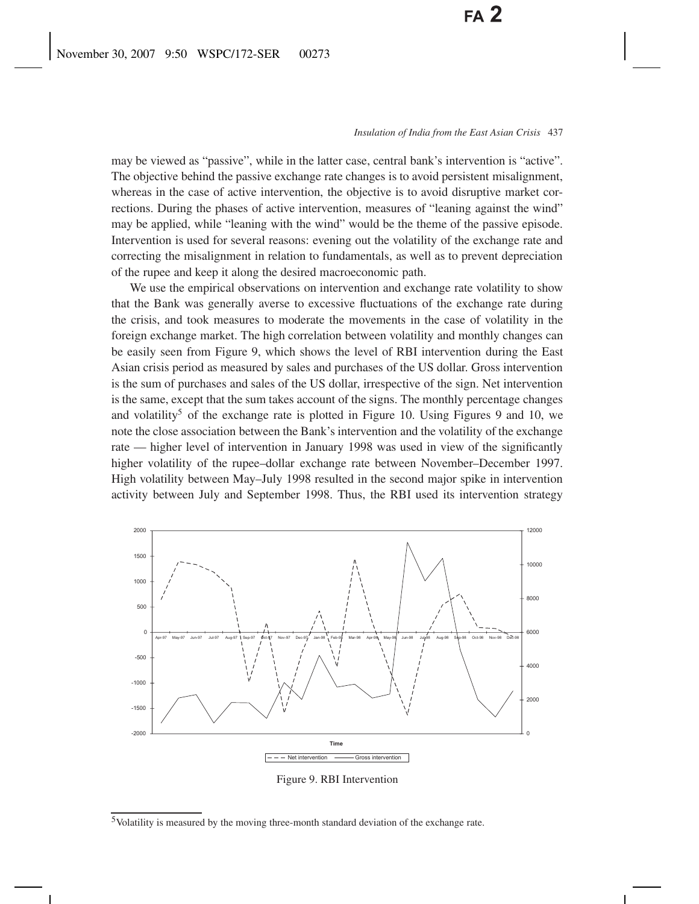may be viewed as "passive", while in the latter case, central bank's intervention is "active". The objective behind the passive exchange rate changes is to avoid persistent misalignment, whereas in the case of active intervention, the objective is to avoid disruptive market corrections. During the phases of active intervention, measures of "leaning against the wind" may be applied, while "leaning with the wind" would be the theme of the passive episode. Intervention is used for several reasons: evening out the volatility of the exchange rate and correcting the misalignment in relation to fundamentals, as well as to prevent depreciation of the rupee and keep it along the desired macroeconomic path.

We use the empirical observations on intervention and exchange rate volatility to show that the Bank was generally averse to excessive fluctuations of the exchange rate during the crisis, and took measures to moderate the movements in the case of volatility in the foreign exchange market. The high correlation between volatility and monthly changes can be easily seen from Figure 9, which shows the level of RBI intervention during the East Asian crisis period as measured by sales and purchases of the US dollar. Gross intervention is the sum of purchases and sales of the US dollar, irrespective of the sign. Net intervention is the same, except that the sum takes account of the signs. The monthly percentage changes and volatility<sup>5</sup> of the exchange rate is plotted in Figure 10. Using Figures 9 and 10, we note the close association between the Bank's intervention and the volatility of the exchange rate — higher level of intervention in January 1998 was used in view of the significantly higher volatility of the rupee–dollar exchange rate between November–December 1997. High volatility between May–July 1998 resulted in the second major spike in intervention activity between July and September 1998. Thus, the RBI used its intervention strategy



Figure 9. RBI Intervention

<sup>5</sup>Volatility is measured by the moving three-month standard deviation of the exchange rate.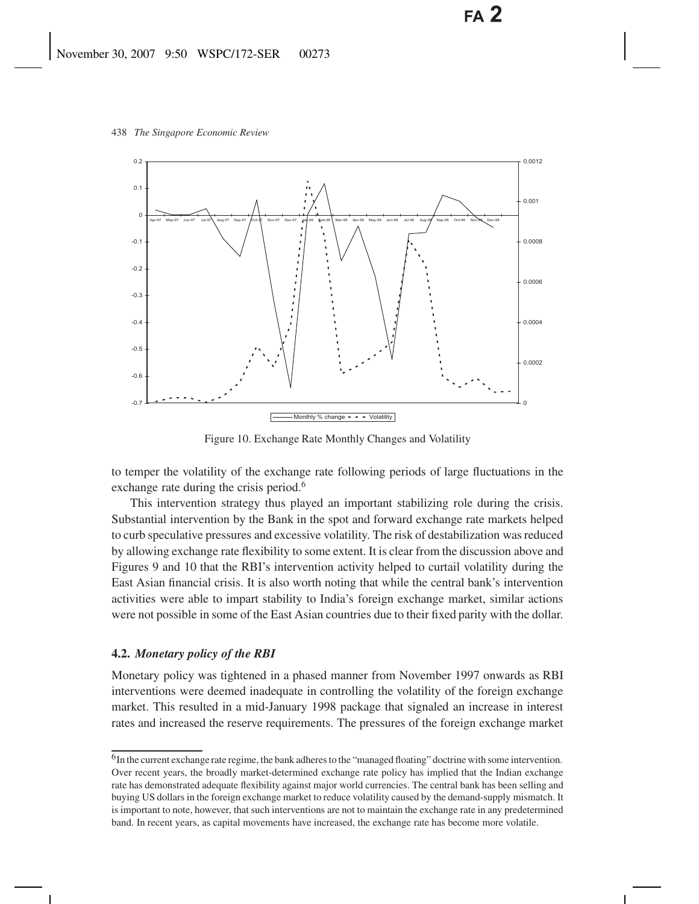

Figure 10. Exchange Rate Monthly Changes and Volatility

to temper the volatility of the exchange rate following periods of large fluctuations in the exchange rate during the crisis period.<sup>6</sup>

This intervention strategy thus played an important stabilizing role during the crisis. Substantial intervention by the Bank in the spot and forward exchange rate markets helped to curb speculative pressures and excessive volatility. The risk of destabilization was reduced by allowing exchange rate flexibility to some extent. It is clear from the discussion above and Figures 9 and 10 that the RBI's intervention activity helped to curtail volatility during the East Asian financial crisis. It is also worth noting that while the central bank's intervention activities were able to impart stability to India's foreign exchange market, similar actions were not possible in some of the East Asian countries due to their fixed parity with the dollar.

# **4.2.** *Monetary policy of the RBI*

Monetary policy was tightened in a phased manner from November 1997 onwards as RBI interventions were deemed inadequate in controlling the volatility of the foreign exchange market. This resulted in a mid-January 1998 package that signaled an increase in interest rates and increased the reserve requirements. The pressures of the foreign exchange market

<sup>6</sup>In the current exchange rate regime, the bank adheres to the "managed floating" doctrine with some intervention. Over recent years, the broadly market-determined exchange rate policy has implied that the Indian exchange rate has demonstrated adequate flexibility against major world currencies. The central bank has been selling and buying US dollars in the foreign exchange market to reduce volatility caused by the demand-supply mismatch. It is important to note, however, that such interventions are not to maintain the exchange rate in any predetermined band. In recent years, as capital movements have increased, the exchange rate has become more volatile.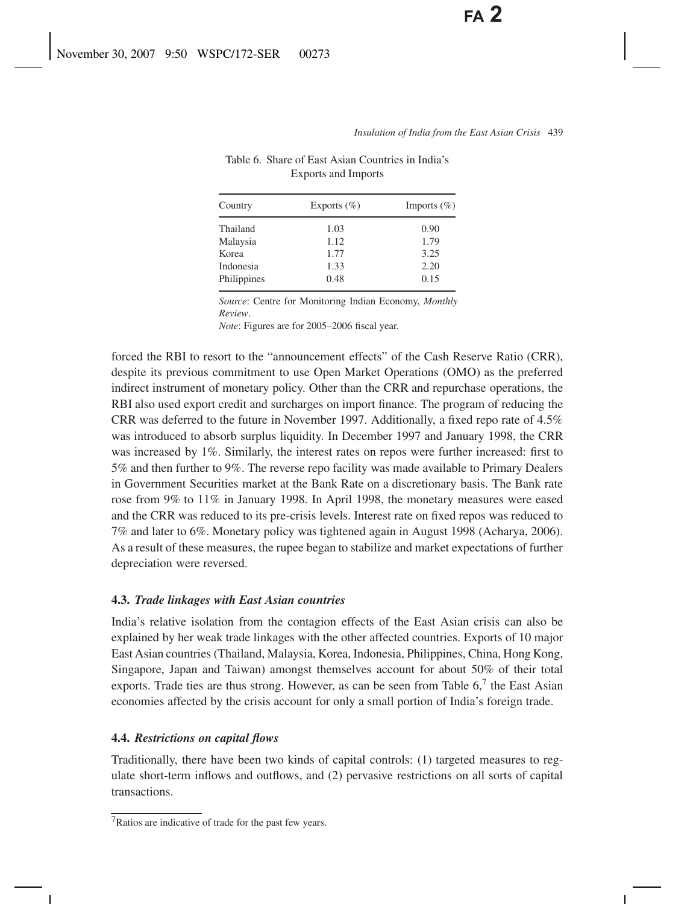| Exports $(\% )$ | Imports $(\%)$ |
|-----------------|----------------|
| 1.03            | 0.90           |
| 1.12            | 1.79           |
| 1.77            | 3.25           |
| 1.33            | 2.20           |
| 0.48            | 0.15           |
|                 |                |

# Table 6. Share of East Asian Countries in India's Exports and Imports

*Source*: Centre for Monitoring Indian Economy, *Monthly Review*.

*Note*: Figures are for 2005–2006 fiscal year.

forced the RBI to resort to the "announcement effects" of the Cash Reserve Ratio (CRR), despite its previous commitment to use Open Market Operations (OMO) as the preferred indirect instrument of monetary policy. Other than the CRR and repurchase operations, the RBI also used export credit and surcharges on import finance. The program of reducing the CRR was deferred to the future in November 1997. Additionally, a fixed repo rate of 4.5% was introduced to absorb surplus liquidity. In December 1997 and January 1998, the CRR was increased by 1%. Similarly, the interest rates on repos were further increased: first to 5% and then further to 9%. The reverse repo facility was made available to Primary Dealers in Government Securities market at the Bank Rate on a discretionary basis. The Bank rate rose from 9% to 11% in January 1998. In April 1998, the monetary measures were eased and the CRR was reduced to its pre-crisis levels. Interest rate on fixed repos was reduced to 7% and later to 6%. Monetary policy was tightened again in August 1998 (Acharya, 2006). As a result of these measures, the rupee began to stabilize and market expectations of further depreciation were reversed.

# **4.3.** *Trade linkages with East Asian countries*

India's relative isolation from the contagion effects of the East Asian crisis can also be explained by her weak trade linkages with the other affected countries. Exports of 10 major East Asian countries (Thailand, Malaysia, Korea, Indonesia, Philippines, China, Hong Kong, Singapore, Japan and Taiwan) amongst themselves account for about 50% of their total exports. Trade ties are thus strong. However, as can be seen from Table  $6<sup>7</sup>$ , the East Asian economies affected by the crisis account for only a small portion of India's foreign trade.

# **4.4.** *Restrictions on capital flows*

Traditionally, there have been two kinds of capital controls: (1) targeted measures to regulate short-term inflows and outflows, and (2) pervasive restrictions on all sorts of capital transactions.

<sup>7</sup>Ratios are indicative of trade for the past few years.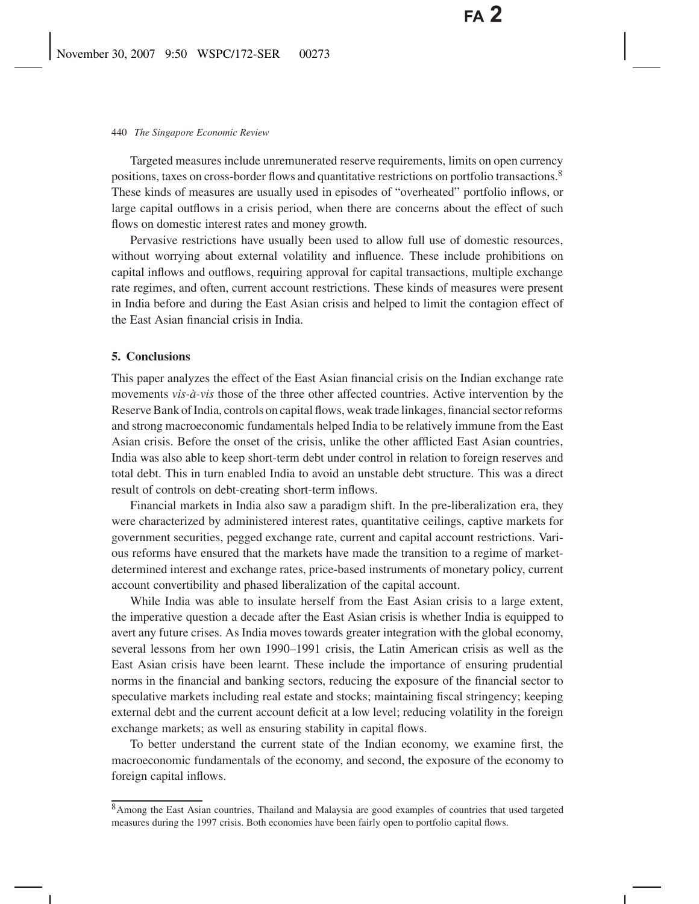#### 440 *The Singapore Economic Review*

Targeted measures include unremunerated reserve requirements, limits on open currency positions, taxes on cross-border flows and quantitative restrictions on portfolio transactions.<sup>8</sup> These kinds of measures are usually used in episodes of "overheated" portfolio inflows, or large capital outflows in a crisis period, when there are concerns about the effect of such flows on domestic interest rates and money growth.

Pervasive restrictions have usually been used to allow full use of domestic resources, without worrying about external volatility and influence. These include prohibitions on capital inflows and outflows, requiring approval for capital transactions, multiple exchange rate regimes, and often, current account restrictions. These kinds of measures were present in India before and during the East Asian crisis and helped to limit the contagion effect of the East Asian financial crisis in India.

#### **5. Conclusions**

This paper analyzes the effect of the East Asian financial crisis on the Indian exchange rate movements *vis-à-vis* those of the three other affected countries. Active intervention by the Reserve Bank of India, controls on capital flows, weak trade linkages, financial sector reforms and strong macroeconomic fundamentals helped India to be relatively immune from the East Asian crisis. Before the onset of the crisis, unlike the other afflicted East Asian countries, India was also able to keep short-term debt under control in relation to foreign reserves and total debt. This in turn enabled India to avoid an unstable debt structure. This was a direct result of controls on debt-creating short-term inflows.

Financial markets in India also saw a paradigm shift. In the pre-liberalization era, they were characterized by administered interest rates, quantitative ceilings, captive markets for government securities, pegged exchange rate, current and capital account restrictions. Various reforms have ensured that the markets have made the transition to a regime of marketdetermined interest and exchange rates, price-based instruments of monetary policy, current account convertibility and phased liberalization of the capital account.

While India was able to insulate herself from the East Asian crisis to a large extent, the imperative question a decade after the East Asian crisis is whether India is equipped to avert any future crises. As India moves towards greater integration with the global economy, several lessons from her own 1990–1991 crisis, the Latin American crisis as well as the East Asian crisis have been learnt. These include the importance of ensuring prudential norms in the financial and banking sectors, reducing the exposure of the financial sector to speculative markets including real estate and stocks; maintaining fiscal stringency; keeping external debt and the current account deficit at a low level; reducing volatility in the foreign exchange markets; as well as ensuring stability in capital flows.

To better understand the current state of the Indian economy, we examine first, the macroeconomic fundamentals of the economy, and second, the exposure of the economy to foreign capital inflows.

<sup>8</sup>Among the East Asian countries, Thailand and Malaysia are good examples of countries that used targeted measures during the 1997 crisis. Both economies have been fairly open to portfolio capital flows.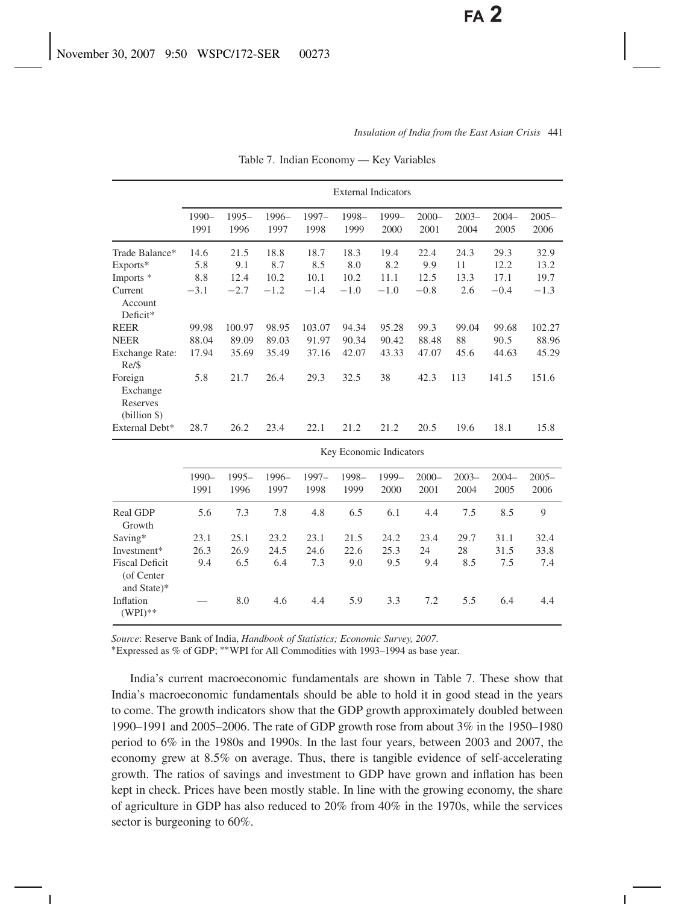|                                                    |               | <b>External Indicators</b> |               |                 |               |                         |                  |                  |                  |                  |
|----------------------------------------------------|---------------|----------------------------|---------------|-----------------|---------------|-------------------------|------------------|------------------|------------------|------------------|
|                                                    | 1990-<br>1991 | $1995 -$<br>1996           | 1996-<br>1997 | $1997-$<br>1998 | 1998-<br>1999 | 1999-<br>2000           | $2000 -$<br>2001 | $2003 -$<br>2004 | $2004 -$<br>2005 | $2005 -$<br>2006 |
| Trade Balance*                                     | 14.6          | 21.5                       | 18.8          | 18.7            | 18.3          | 19.4                    | 22.4             | 24.3             | 29.3             | 32.9             |
| Exports*                                           | 5.8           | 9.1                        | 8.7           | 8.5             | 8.0           | 8.2                     | 9.9              | 11               | 12.2             | 13.2             |
| Imports <sup>*</sup>                               | 8.8           | 12.4                       | 10.2          | 10.1            | 10.2          | 11.1                    | 12.5             | 13.3             | 17.1             | 19.7             |
| Current<br>Account<br>Deficit*                     | $-3.1$        | $-2.7$                     | $-1.2$        | $-1.4$          | $-1.0$        | $-1.0$                  | $-0.8$           | 2.6              | $-0.4$           | $-1.3$           |
| <b>REER</b>                                        | 99.98         | 100.97                     | 98.95         | 103.07          | 94.34         | 95.28                   | 99.3             | 99.04            | 99.68            | 102.27           |
| <b>NEER</b>                                        | 88.04         | 89.09                      | 89.03         | 91.97           | 90.34         | 90.42                   | 88.48            | 88               | 90.5             | 88.96            |
| Exchange Rate:<br>Re/S                             | 17.94         | 35.69                      | 35.49         | 37.16           | 42.07         | 43.33                   | 47.07            | 45.6             | 44.63            | 45.29            |
| Foreign<br>Exchange<br>Reserves<br>(billion \$)    | 5.8           | 21.7                       | 26.4          | 29.3            | 32.5          | 38                      | 42.3             | 113              | 141.5            | 151.6            |
| External Debt*                                     | 28.7          | 26.2                       | 23.4          | 22.1            | 21.2          | 21.2                    | 20.5             | 19.6             | 18.1             | 15.8             |
|                                                    |               |                            |               |                 |               | Key Economic Indicators |                  |                  |                  |                  |
|                                                    | 1990-<br>1991 | $1995 -$<br>1996           | 1996-<br>1997 | 1997-<br>1998   | 1998-<br>1999 | 1999-<br>2000           | $2000 -$<br>2001 | $2003 -$<br>2004 | $2004 -$<br>2005 | $2005 -$<br>2006 |
| <b>Real GDP</b><br>Growth                          | 5.6           | 7.3                        | 7.8           | 4.8             | 6.5           | 6.1                     | 4.4              | 7.5              | 8.5              | 9                |
| Saving*                                            | 23.1          | 25.1                       | 23.2          | 23.1            | 21.5          | 24.2                    | 23.4             | 29.7             | 31.1             | 32.4             |
| Investment*                                        | 26.3          | 26.9                       | 24.5          | 24.6            | 22.6          | 25.3                    | 24               | 28               | 31.5             | 33.8             |
| <b>Fiscal Deficit</b><br>(of Center<br>and State)* | 9.4           | 6.5                        | 6.4           | 7.3             | 9.0           | 9.5                     | 9.4              | 8.5              | 7.5              | 7.4              |
| Inflation<br>$(WPI)**$                             |               | 8.0                        | 4.6           | 4.4             | 5.9           | 3.3                     | 7.2              | 5.5              | 6.4              | 4.4              |

Table 7. Indian Economy — Key Variables

*Source*: Reserve Bank of India, *Handbook of Statistics; Economic Survey, 2007*.

∗Expressed as % of GDP; ∗∗WPI for All Commodities with 1993–1994 as base year.

India's current macroeconomic fundamentals are shown in Table 7. These show that India's macroeconomic fundamentals should be able to hold it in good stead in the years to come. The growth indicators show that the GDP growth approximately doubled between 1990–1991 and 2005–2006. The rate of GDP growth rose from about 3% in the 1950–1980 period to 6% in the 1980s and 1990s. In the last four years, between 2003 and 2007, the economy grew at 8.5% on average. Thus, there is tangible evidence of self-accelerating growth. The ratios of savings and investment to GDP have grown and inflation has been kept in check. Prices have been mostly stable. In line with the growing economy, the share of agriculture in GDP has also reduced to 20% from 40% in the 1970s, while the services sector is burgeoning to 60%.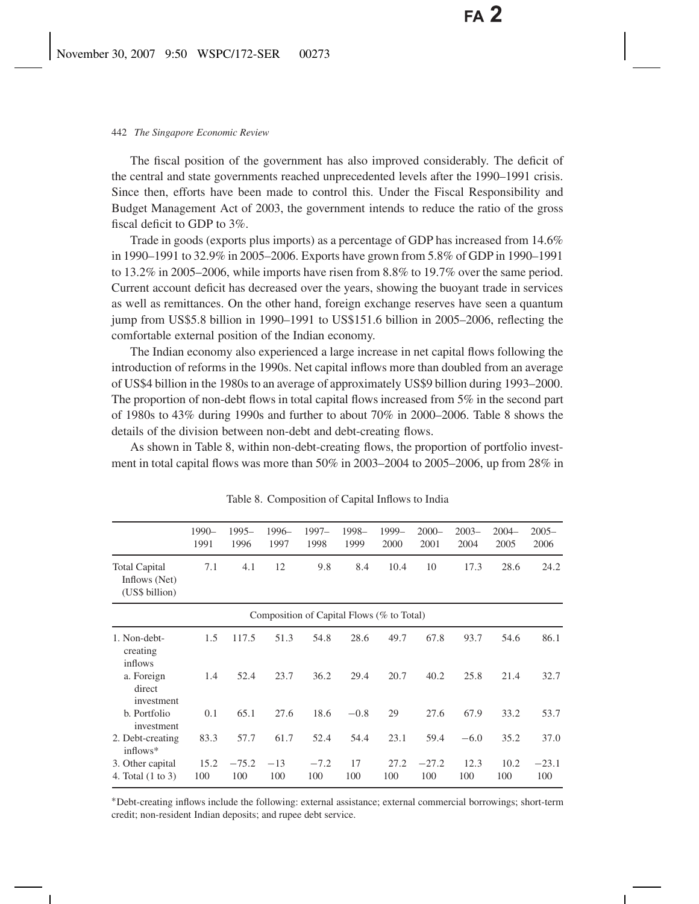#### 442 *The Singapore Economic Review*

The fiscal position of the government has also improved considerably. The deficit of the central and state governments reached unprecedented levels after the 1990–1991 crisis. Since then, efforts have been made to control this. Under the Fiscal Responsibility and Budget Management Act of 2003, the government intends to reduce the ratio of the gross fiscal deficit to GDP to 3%.

Trade in goods (exports plus imports) as a percentage of GDP has increased from 14.6% in 1990–1991 to 32.9% in 2005–2006. Exports have grown from 5.8% of GDP in 1990–1991 to 13.2% in 2005–2006, while imports have risen from 8.8% to 19.7% over the same period. Current account deficit has decreased over the years, showing the buoyant trade in services as well as remittances. On the other hand, foreign exchange reserves have seen a quantum jump from US\$5.8 billion in 1990–1991 to US\$151.6 billion in 2005–2006, reflecting the comfortable external position of the Indian economy.

The Indian economy also experienced a large increase in net capital flows following the introduction of reforms in the 1990s. Net capital inflows more than doubled from an average of US\$4 billion in the 1980s to an average of approximately US\$9 billion during 1993–2000. The proportion of non-debt flows in total capital flows increased from 5% in the second part of 1980s to 43% during 1990s and further to about 70% in 2000–2006. Table 8 shows the details of the division between non-debt and debt-creating flows.

As shown in Table 8, within non-debt-creating flows, the proportion of portfolio investment in total capital flows was more than 50% in 2003–2004 to 2005–2006, up from 28% in

|                                                         | $1990-$<br>1991 | $1995-$<br>1996 | $1996-$<br>1997 | $1997-$<br>1998                           | 1998-<br>1999 | $1999-$<br>2000 | $2000 -$<br>2001 | $2003 -$<br>2004 | $2004 -$<br>2005 | $2005 -$<br>2006 |
|---------------------------------------------------------|-----------------|-----------------|-----------------|-------------------------------------------|---------------|-----------------|------------------|------------------|------------------|------------------|
| <b>Total Capital</b><br>Inflows (Net)<br>(US\$ billion) | 7.1             | 4.1             | 12              | 9.8                                       | 8.4           | 10.4            | 10               | 17.3             | 28.6             | 24.2             |
|                                                         |                 |                 |                 | Composition of Capital Flows (% to Total) |               |                 |                  |                  |                  |                  |
| 1. Non-debt-<br>creating<br>inflows                     | 1.5             | 117.5           | 51.3            | 54.8                                      | 28.6          | 49.7            | 67.8             | 93.7             | 54.6             | 86.1             |
| a. Foreign<br>direct<br>investment                      | 1.4             | 52.4            | 23.7            | 36.2                                      | 29.4          | 20.7            | 40.2             | 25.8             | 21.4             | 32.7             |
| b. Portfolio<br>investment                              | 0.1             | 65.1            | 27.6            | 18.6                                      | $-0.8$        | 29              | 27.6             | 67.9             | 33.2             | 53.7             |
| 2. Debt-creating<br>inflows*                            | 83.3            | 57.7            | 61.7            | 52.4                                      | 54.4          | 23.1            | 59.4             | $-6.0$           | 35.2             | 37.0             |
| 3. Other capital<br>4. Total (1 to 3)                   | 15.2<br>100     | $-75.2$<br>100  | $-13$<br>100    | $-7.2$<br>100                             | 17<br>100     | 27.2<br>100     | $-27.2$<br>100   | 12.3<br>100      | 10.2<br>100      | $-23.1$<br>100   |

Table 8. Composition of Capital Inflows to India

∗Debt-creating inflows include the following: external assistance; external commercial borrowings; short-term credit; non-resident Indian deposits; and rupee debt service.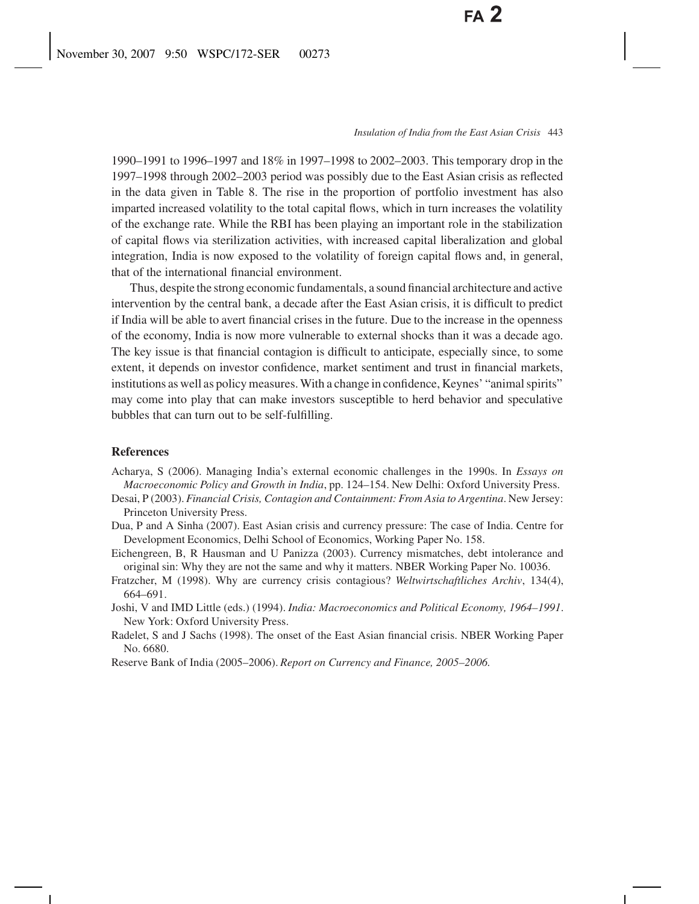1990–1991 to 1996–1997 and 18% in 1997–1998 to 2002–2003. This temporary drop in the 1997–1998 through 2002–2003 period was possibly due to the East Asian crisis as reflected in the data given in Table 8. The rise in the proportion of portfolio investment has also imparted increased volatility to the total capital flows, which in turn increases the volatility of the exchange rate. While the RBI has been playing an important role in the stabilization of capital flows via sterilization activities, with increased capital liberalization and global integration, India is now exposed to the volatility of foreign capital flows and, in general, that of the international financial environment.

Thus, despite the strong economic fundamentals, a sound financial architecture and active intervention by the central bank, a decade after the East Asian crisis, it is difficult to predict if India will be able to avert financial crises in the future. Due to the increase in the openness of the economy, India is now more vulnerable to external shocks than it was a decade ago. The key issue is that financial contagion is difficult to anticipate, especially since, to some extent, it depends on investor confidence, market sentiment and trust in financial markets, institutions as well as policy measures. With a change in confidence, Keynes' "animal spirits" may come into play that can make investors susceptible to herd behavior and speculative bubbles that can turn out to be self-fulfilling.

#### **References**

- Acharya, S (2006). Managing India's external economic challenges in the 1990s. In *Essays on Macroeconomic Policy and Growth in India*, pp. 124–154. New Delhi: Oxford University Press.
- Desai, P (2003). *Financial Crisis, Contagion and Containment: From Asia to Argentina*. New Jersey: Princeton University Press.
- Dua, P and A Sinha (2007). East Asian crisis and currency pressure: The case of India. Centre for Development Economics, Delhi School of Economics, Working Paper No. 158.
- Eichengreen, B, R Hausman and U Panizza (2003). Currency mismatches, debt intolerance and original sin: Why they are not the same and why it matters. NBER Working Paper No. 10036.
- Fratzcher, M (1998). Why are currency crisis contagious? *Weltwirtschaftliches Archiv*, 134(4), 664–691.
- Joshi, V and IMD Little (eds.) (1994). *India: Macroeconomics and Political Economy, 1964–1991*. New York: Oxford University Press.
- Radelet, S and J Sachs (1998). The onset of the East Asian financial crisis. NBER Working Paper No. 6680.
- Reserve Bank of India (2005–2006). *Report on Currency and Finance, 2005–2006.*